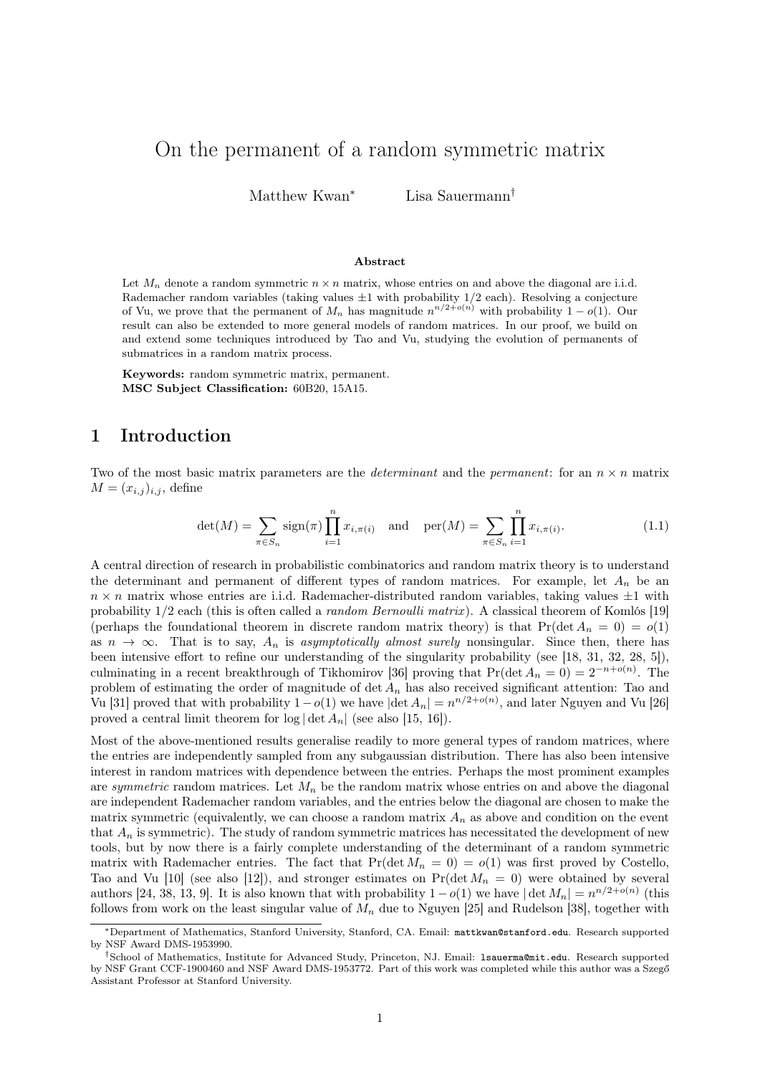# On the permanent of a random symmetric matrix

Matthew Kwan<sup>∗</sup> Lisa Sauermann<sup>†</sup>

#### Abstract

Let  $M_n$  denote a random symmetric  $n \times n$  matrix, whose entries on and above the diagonal are i.i.d. Rademacher random variables (taking values  $\pm 1$  with probability  $1/2$  each). Resolving a conjecture of Vu, we prove that the permanent of  $M_n$  has magnitude  $n^{n/2+o(n)}$  with probability  $1-o(1)$ . Our result can also be extended to more general models of random matrices. In our proof, we build on and extend some techniques introduced by Tao and Vu, studying the evolution of permanents of submatrices in a random matrix process.

Keywords: random symmetric matrix, permanent. MSC Subject Classification: 60B20, 15A15.

#### 1 Introduction

Two of the most basic matrix parameters are the *determinant* and the *permanent*: for an  $n \times n$  matrix  $M = (x_{i,j})_{i,j}$ , define

<span id="page-0-0"></span>
$$
\det(M) = \sum_{\pi \in S_n} \text{sign}(\pi) \prod_{i=1}^n x_{i,\pi(i)} \quad \text{and} \quad \text{per}(M) = \sum_{\pi \in S_n} \prod_{i=1}^n x_{i,\pi(i)}.
$$
 (1.1)

A central direction of research in probabilistic combinatorics and random matrix theory is to understand the determinant and permanent of different types of random matrices. For example, let  $A_n$  be an  $n \times n$  matrix whose entries are i.i.d. Rademacher-distributed random variables, taking values  $\pm 1$  with probability 1/2 each (this is often called a random Bernoulli matrix ). A classical theorem of Komlós [\[19\]](#page-19-0) (perhaps the foundational theorem in discrete random matrix theory) is that  $Pr(\det A_n = 0) = o(1)$ as  $n \to \infty$ . That is to say,  $A_n$  is asymptotically almost surely nonsingular. Since then, there has been intensive effort to refine our understanding of the singularity probability (see [\[18,](#page-19-1) [31,](#page-20-0) [32,](#page-20-1) [28,](#page-19-2) [5\]](#page-19-3)), culminating in a recent breakthrough of Tikhomirov [\[36\]](#page-20-2) proving that  $Pr(\det A_n = 0) = 2^{-n+o(n)}$ . The problem of estimating the order of magnitude of  $\det A_n$  has also received significant attention: Tao and Vu [\[31\]](#page-20-0) proved that with probability  $1-o(1)$  we have  $|\text{det } A_n|=n^{n/2+o(n)}$ , and later Nguyen and Vu [\[26\]](#page-19-4) proved a central limit theorem for  $\log |\det A_n|$  (see also [\[15,](#page-19-5) [16\]](#page-19-6)).

Most of the above-mentioned results generalise readily to more general types of random matrices, where the entries are independently sampled from any subgaussian distribution. There has also been intensive interest in random matrices with dependence between the entries. Perhaps the most prominent examples are symmetric random matrices. Let  $M_n$  be the random matrix whose entries on and above the diagonal are independent Rademacher random variables, and the entries below the diagonal are chosen to make the matrix symmetric (equivalently, we can choose a random matrix  $A_n$  as above and condition on the event that  $A_n$  is symmetric). The study of random symmetric matrices has necessitated the development of new tools, but by now there is a fairly complete understanding of the determinant of a random symmetric matrix with Rademacher entries. The fact that  $Pr(\det M_n = 0) = o(1)$  was first proved by Costello, Tao and Vu [\[10\]](#page-19-7) (see also [\[12\]](#page-19-8)), and stronger estimates on  $Pr(\det M_n = 0)$  were obtained by several authors [\[24,](#page-19-9) [38,](#page-20-3) [13,](#page-19-10) [9\]](#page-19-11). It is also known that with probability  $1-o(1)$  we have  $|\det M_n|=n^{n/2+o(n)}$  (this follows from work on the least singular value of  $M_n$  due to Nguyen [\[25\]](#page-19-12) and Rudelson [\[38\]](#page-20-3), together with

<sup>∗</sup>Department of Mathematics, Stanford University, Stanford, CA. Email: <mattkwan@stanford.edu>. Research supported by NSF Award DMS-1953990.

<sup>†</sup>School of Mathematics, Institute for Advanced Study, Princeton, NJ. Email: <lsauerma@mit.edu>. Research supported by NSF Grant CCF-1900460 and NSF Award DMS-1953772. Part of this work was completed while this author was a Szegő Assistant Professor at Stanford University.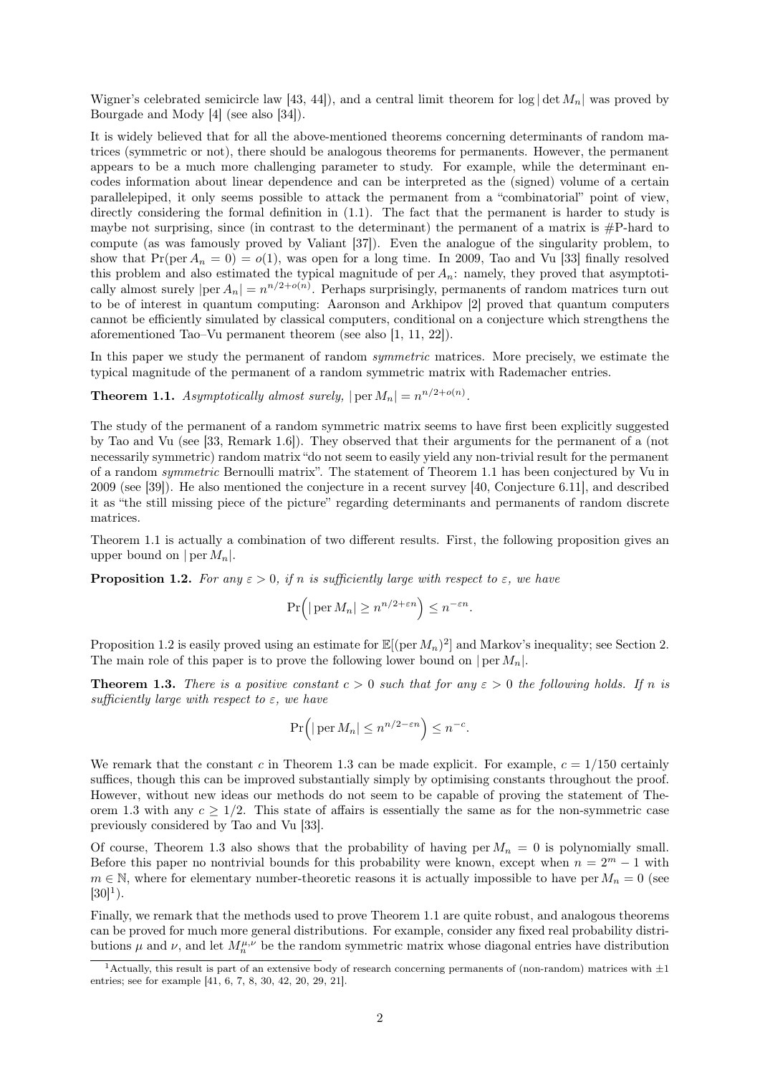Wigner's celebrated semicircle law [\[43,](#page-20-4) [44\]](#page-20-5)), and a central limit theorem for  $\log |\det M_n|$  was proved by Bourgade and Mody [\[4\]](#page-19-13) (see also [\[34\]](#page-20-6)).

It is widely believed that for all the above-mentioned theorems concerning determinants of random matrices (symmetric or not), there should be analogous theorems for permanents. However, the permanent appears to be a much more challenging parameter to study. For example, while the determinant encodes information about linear dependence and can be interpreted as the (signed) volume of a certain parallelepiped, it only seems possible to attack the permanent from a "combinatorial" point of view, directly considering the formal definition in  $(1.1)$ . The fact that the permanent is harder to study is maybe not surprising, since (in contrast to the determinant) the permanent of a matrix is  $\#P$ -hard to compute (as was famously proved by Valiant [\[37\]](#page-20-7)). Even the analogue of the singularity problem, to show that  $Pr(\text{per } A_n = 0) = o(1)$ , was open for a long time. In 2009, Tao and Vu [\[33\]](#page-20-8) finally resolved this problem and also estimated the typical magnitude of per  $A_n$ : namely, they proved that asymptotically almost surely  $|\text{per } A_n| = n^{n/2+o(n)}$ . Perhaps surprisingly, permanents of random matrices turn out to be of interest in quantum computing: Aaronson and Arkhipov [\[2\]](#page-18-0) proved that quantum computers cannot be efficiently simulated by classical computers, conditional on a conjecture which strengthens the aforementioned Tao–Vu permanent theorem (see also [\[1,](#page-18-1) [11,](#page-19-14) [22\]](#page-19-15)).

In this paper we study the permanent of random *symmetric* matrices. More precisely, we estimate the typical magnitude of the permanent of a random symmetric matrix with Rademacher entries.

<span id="page-1-0"></span>**Theorem 1.1.** Asymptotically almost surely,  $|\text{per } M_n| = n^{n/2+o(n)}$ .

The study of the permanent of a random symmetric matrix seems to have first been explicitly suggested by Tao and Vu (see [\[33,](#page-20-8) Remark 1.6]). They observed that their arguments for the permanent of a (not necessarily symmetric) random matrix "do not seem to easily yield any non-trivial result for the permanent of a random symmetric Bernoulli matrix". The statement of [Theorem 1.1](#page-1-0) has been conjectured by Vu in 2009 (see [\[39\]](#page-20-9)). He also mentioned the conjecture in a recent survey [\[40,](#page-20-10) Conjecture 6.11], and described it as "the still missing piece of the picture" regarding determinants and permanents of random discrete matrices.

[Theorem 1.1](#page-1-0) is actually a combination of two different results. First, the following proposition gives an upper bound on  $|\n\rangle$  per  $M_n$ .

<span id="page-1-1"></span>**Proposition 1.2.** For any  $\varepsilon > 0$ , if n is sufficiently large with respect to  $\varepsilon$ , we have

$$
\Pr\Big(\big|\operatorname{per} M_n\big|\ge n^{n/2+\varepsilon n}\Big)\le n^{-\varepsilon n}.
$$

[Proposition 1.2](#page-1-1) is easily proved using an estimate for  $\mathbb{E}[(\text{per } M_n)^2]$  and Markov's inequality; see [Section 2.](#page-2-0) The main role of this paper is to prove the following lower bound on  $| \operatorname{per} M_n |$ .

<span id="page-1-2"></span>**Theorem 1.3.** There is a positive constant  $c > 0$  such that for any  $\varepsilon > 0$  the following holds. If n is sufficiently large with respect to  $\varepsilon$ , we have

$$
\Pr\Big(\big|\operatorname{per} M_n\big|\le n^{n/2-\varepsilon n}\Big)\le n^{-c}.
$$

We remark that the constant c in [Theorem 1.3](#page-1-2) can be made explicit. For example,  $c = 1/150$  certainly suffices, though this can be improved substantially simply by optimising constants throughout the proof. However, without new ideas our methods do not seem to be capable of proving the statement of [The](#page-1-2)[orem 1.3](#page-1-2) with any  $c \geq 1/2$ . This state of affairs is essentially the same as for the non-symmetric case previously considered by Tao and Vu [\[33\]](#page-20-8).

Of course, [Theorem 1.3](#page-1-2) also shows that the probability of having per  $M_n = 0$  is polynomially small. Before this paper no nontrivial bounds for this probability were known, except when  $n = 2<sup>m</sup> - 1$  with  $m \in \mathbb{N}$ , where for elementary number-theoretic reasons it is actually impossible to have per  $M_n = 0$  (see  $[30]^{1}$  $[30]^{1}$  $[30]^{1}$  $[30]^{1}$ ).

Finally, we remark that the methods used to prove [Theorem 1.1](#page-1-0) are quite robust, and analogous theorems can be proved for much more general distributions. For example, consider any fixed real probability distributions  $\mu$  and  $\nu$ , and let  $M_n^{\mu,\nu}$  be the random symmetric matrix whose diagonal entries have distribution

<span id="page-1-3"></span><sup>&</sup>lt;sup>1</sup> Actually, this result is part of an extensive body of research concerning permanents of (non-random) matrices with  $\pm 1$ entries; see for example [\[41,](#page-20-12) [6,](#page-19-16) [7,](#page-19-17) [8,](#page-19-18) [30,](#page-20-11) [42,](#page-20-13) [20,](#page-19-19) [29,](#page-20-14) [21\]](#page-19-20).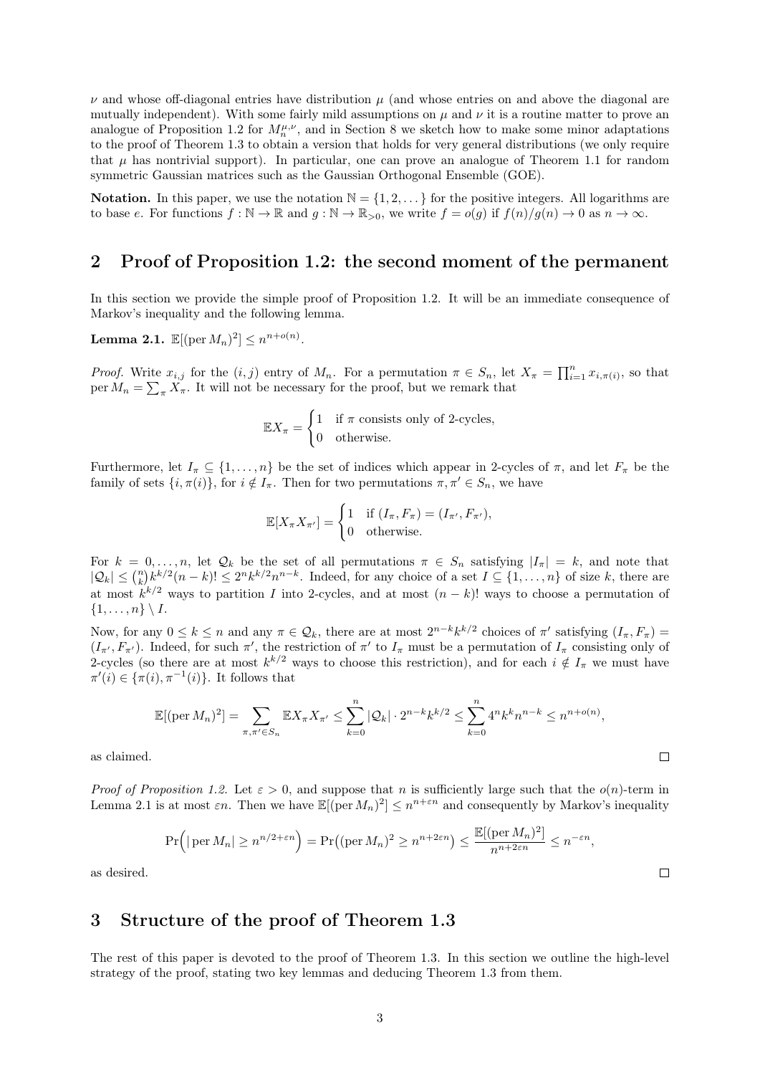$\nu$  and whose off-diagonal entries have distribution  $\mu$  (and whose entries on and above the diagonal are mutually independent). With some fairly mild assumptions on  $\mu$  and  $\nu$  it is a routine matter to prove an analogue of [Proposition 1.2](#page-1-1) for  $M_n^{\mu,\nu}$ , and in [Section 8](#page-17-0) we sketch how to make some minor adaptations to the proof of [Theorem 1.3](#page-1-2) to obtain a version that holds for very general distributions (we only require that  $\mu$  has nontrivial support). In particular, one can prove an analogue of [Theorem 1.1](#page-1-0) for random symmetric Gaussian matrices such as the Gaussian Orthogonal Ensemble (GOE).

Notation. In this paper, we use the notation  $\mathbb{N} = \{1, 2, \dots\}$  for the positive integers. All logarithms are to base e. For functions  $f : \mathbb{N} \to \mathbb{R}$  and  $g : \mathbb{N} \to \mathbb{R}_{>0}$ , we write  $f = o(g)$  if  $f(n)/g(n) \to 0$  as  $n \to \infty$ .

#### <span id="page-2-0"></span>2 Proof of [Proposition 1.2:](#page-1-1) the second moment of the permanent

In this section we provide the simple proof of [Proposition 1.2.](#page-1-1) It will be an immediate consequence of Markov's inequality and the following lemma.

<span id="page-2-1"></span>**Lemma 2.1.**  $\mathbb{E}[(\text{per } M_n)^2] \leq n^{n+o(n)}$ .

*Proof.* Write  $x_{i,j}$  for the  $(i, j)$  entry of  $M_n$ . For a permutation  $\pi \in S_n$ , let  $X_{\pi} = \prod_{i=1}^n x_{i, \pi(i)}$ , so that per  $M_n = \sum_{\pi} X_{\pi}$ . It will not be necessary for the proof, but we remark that

$$
\mathbb{E}X_{\pi} = \begin{cases} 1 & \text{if } \pi \text{ consists only of 2-cycles,} \\ 0 & \text{otherwise.} \end{cases}
$$

Furthermore, let  $I_{\pi} \subseteq \{1, \ldots, n\}$  be the set of indices which appear in 2-cycles of  $\pi$ , and let  $F_{\pi}$  be the family of sets  $\{i, \pi(i)\}\$ , for  $i \notin I_\pi$ . Then for two permutations  $\pi, \pi' \in S_n$ , we have

$$
\mathbb{E}[X_{\pi}X_{\pi'}] = \begin{cases} 1 & \text{if } (I_{\pi}, F_{\pi}) = (I_{\pi'}, F_{\pi'}), \\ 0 & \text{otherwise.} \end{cases}
$$

For  $k = 0, \ldots, n$ , let  $\mathcal{Q}_k$  be the set of all permutations  $\pi \in S_n$  satisfying  $|I_{\pi}| = k$ , and note that  $|Q_k| \leq {n \choose k} k^{k/2} (n-k)! \leq 2^n k^{k/2} n^{n-k}$ . Indeed, for any choice of a set  $I \subseteq \{1, \ldots, n\}$  of size k, there are at most  $k^{k/2}$  ways to partition I into 2-cycles, and at most  $(n-k)!$  ways to choose a permutation of  $\{1, \ldots, n\} \setminus I$ .

Now, for any  $0 \le k \le n$  and any  $\pi \in \mathcal{Q}_k$ , there are at most  $2^{n-k}k^{k/2}$  choices of  $\pi'$  satisfying  $(I_\pi, F_\pi)$  $(I_{\pi'}, F_{\pi'})$ . Indeed, for such  $\pi'$ , the restriction of  $\pi'$  to  $I_{\pi}$  must be a permutation of  $I_{\pi}$  consisting only of 2-cycles (so there are at most  $k^{k/2}$  ways to choose this restriction), and for each  $i \notin I_{\pi}$  we must have  $\pi'(i) \in {\pi(i), \pi^{-1}(i)}$ . It follows that

$$
\mathbb{E}[(\text{per } M_n)^2] = \sum_{\pi, \pi' \in S_n} \mathbb{E}X_{\pi} X_{\pi'} \le \sum_{k=0}^n |\mathcal{Q}_k| \cdot 2^{n-k} k^{k/2} \le \sum_{k=0}^n 4^n k^k n^{n-k} \le n^{n+o(n)},
$$

as claimed.

*Proof of [Proposition 1.2.](#page-1-1)* Let  $\varepsilon > 0$ , and suppose that *n* is sufficiently large such that the  $o(n)$ -term in [Lemma 2.1](#page-2-1) is at most  $\varepsilon n$ . Then we have  $\mathbb{E}[(\text{per } M_n)^2] \leq n^{n+\varepsilon n}$  and consequently by Markov's inequality

$$
\Pr\left(|\operatorname{per} M_n| \ge n^{n/2 + \varepsilon n}\right) = \Pr\left((\operatorname{per} M_n)^2 \ge n^{n+2\varepsilon n}\right) \le \frac{\mathbb{E}[(\operatorname{per} M_n)^2]}{n^{n+2\varepsilon n}} \le n^{-\varepsilon n},
$$

as desired.

#### 3 Structure of the proof of [Theorem 1.3](#page-1-2)

The rest of this paper is devoted to the proof of [Theorem 1.3.](#page-1-2) In this section we outline the high-level strategy of the proof, stating two key lemmas and deducing [Theorem 1.3](#page-1-2) from them.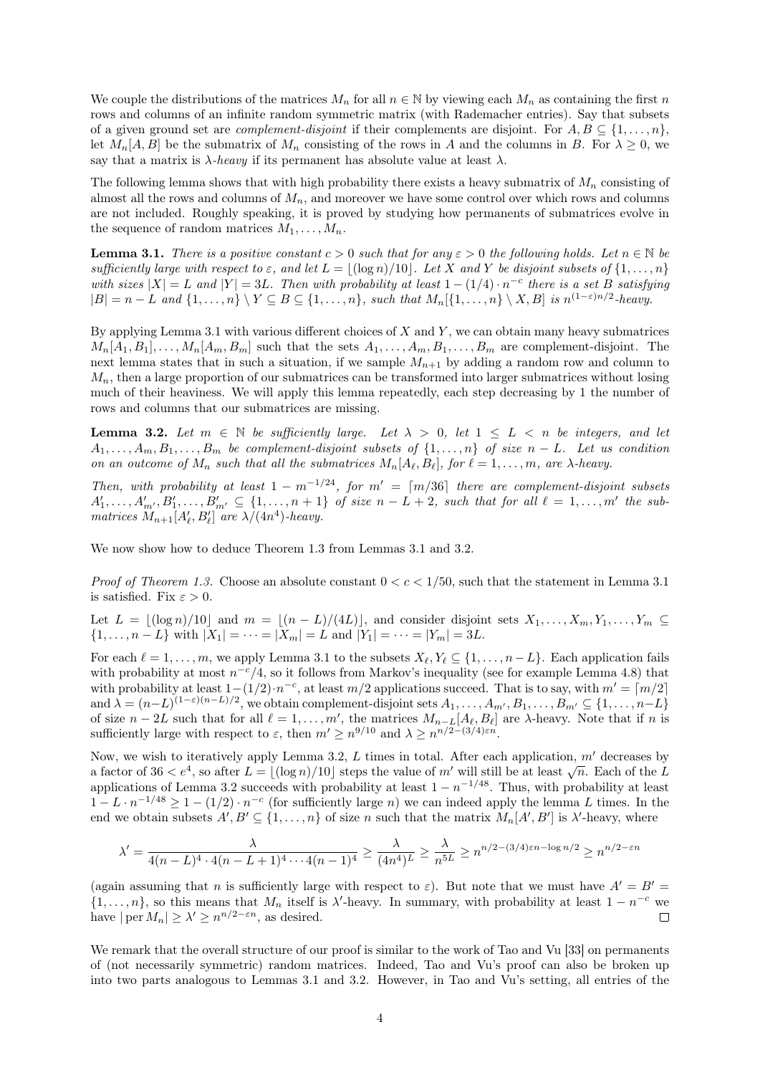We couple the distributions of the matrices  $M_n$  for all  $n \in \mathbb{N}$  by viewing each  $M_n$  as containing the first n rows and columns of an infinite random symmetric matrix (with Rademacher entries). Say that subsets of a given ground set are *complement-disjoint* if their complements are disjoint. For  $A, B \subseteq \{1, \ldots, n\}$ , let  $M_n[A, B]$  be the submatrix of  $M_n$  consisting of the rows in A and the columns in B. For  $\lambda \geq 0$ , we say that a matrix is  $\lambda$ -heavy if its permanent has absolute value at least  $\lambda$ .

The following lemma shows that with high probability there exists a heavy submatrix of  $M_n$  consisting of almost all the rows and columns of  $M_n$ , and moreover we have some control over which rows and columns are not included. Roughly speaking, it is proved by studying how permanents of submatrices evolve in the sequence of random matrices  $M_1, \ldots, M_n$ .

<span id="page-3-0"></span>**Lemma 3.1.** There is a positive constant  $c > 0$  such that for any  $\varepsilon > 0$  the following holds. Let  $n \in \mathbb{N}$  be sufficiently large with respect to  $\varepsilon$ , and let  $L = |(\log n)/10|$ . Let X and Y be disjoint subsets of  $\{1, \ldots, n\}$ with sizes  $|X| = L$  and  $|Y| = 3L$ . Then with probability at least  $1 - (1/4) \cdot n^{-c}$  there is a set B satisfying  $|B| = n - L$  and  $\{1, ..., n\} \setminus Y \subseteq B \subseteq \{1, ..., n\}$ , such that  $M_n[\{1, ..., n\} \setminus X, B]$  is  $n^{(1-\varepsilon)n/2}$ -heavy.

By applying [Lemma 3.1](#page-3-0) with various different choices of  $X$  and  $Y$ , we can obtain many heavy submatrices  $M_n[A_1, B_1], \ldots, M_n[A_m, B_m]$  such that the sets  $A_1, \ldots, A_m, B_1, \ldots, B_m$  are complement-disjoint. The next lemma states that in such a situation, if we sample  $M_{n+1}$  by adding a random row and column to  $M_n$ , then a large proportion of our submatrices can be transformed into larger submatrices without losing much of their heaviness. We will apply this lemma repeatedly, each step decreasing by 1 the number of rows and columns that our submatrices are missing.

<span id="page-3-1"></span>**Lemma 3.2.** Let  $m \in \mathbb{N}$  be sufficiently large. Let  $\lambda > 0$ , let  $1 \leq L < n$  be integers, and let  $A_1, \ldots, A_m, B_1, \ldots, B_m$  be complement-disjoint subsets of  $\{1, \ldots, n\}$  of size  $n - L$ . Let us condition on an outcome of  $M_n$  such that all the submatrices  $M_n[A_\ell, B_\ell]$ , for  $\ell = 1, \ldots, m$ , are  $\lambda$ -heavy.

Then, with probability at least  $1 - m^{-1/24}$ , for  $m' = \lfloor m/36 \rfloor$  there are complement-disjoint subsets  $A'_1,\ldots,A'_{m'},B'_1,\ldots,B'_{m'}\subseteq \{1,\ldots,n+1\}$  of size  $n-L+2$ , such that for all  $\ell=1,\ldots,m'$  the submatrices  $M_{n+1}[A'_\ell, B'_\ell]$  are  $\lambda/(4n^4)$ -heavy.

We now show how to deduce [Theorem 1.3](#page-1-2) from [Lemmas 3.1](#page-3-0) and [3.2.](#page-3-1)

*Proof of [Theorem 1.3.](#page-1-2)* Choose an absolute constant  $0 < c < 1/50$ , such that the statement in [Lemma 3.1](#page-3-0) is satisfied. Fix  $\varepsilon > 0$ .

Let  $L = \lfloor (\log n)/10 \rfloor$  and  $m = \lfloor (n - L)/(4L) \rfloor$ , and consider disjoint sets  $X_1, \ldots, X_m, Y_1, \ldots, Y_m \subseteq$  $\{1, \ldots, n - L\}$  with  $|X_1| = \cdots = |X_m| = L$  and  $|Y_1| = \cdots = |Y_m| = 3L$ .

For each  $\ell = 1, \ldots, m$ , we apply [Lemma 3.1](#page-3-0) to the subsets  $X_{\ell}, Y_{\ell} \subseteq \{1, \ldots, n-L\}$ . Each application fails with probability at most  $n^{-c}/4$ , so it follows from Markov's inequality (see for example [Lemma 4.8\)](#page-6-0) that with probability at least  $1-(1/2) \cdot n^{-c}$ , at least  $m/2$  applications succeed. That is to say, with  $m' = \lfloor m/2 \rfloor$ and  $\lambda = (n-L)^{(1-\varepsilon)(n-L)/2}$ , we obtain complement-disjoint sets  $A_1, \ldots, A_{m}, B_1, \ldots, B_{m'} \subseteq \{1, \ldots, n-L\}$ of size  $n-2L$  such that for all  $\ell = 1, \ldots, m'$ , the matrices  $M_{n-L}[A_{\ell}, B_{\ell}]$  are  $\lambda$ -heavy. Note that if n is sufficiently large with respect to  $\varepsilon$ , then  $m' \geq n^{9/10}$  and  $\lambda \geq n^{n/2-(3/4)\varepsilon n}$ .

Now, we wish to iteratively apply [Lemma 3.2,](#page-3-1) L times in total. After each application,  $m'$  decreases by Now, we wish to heralively apply Lemma 3.2, L times in total. After each application, m decreases by a factor of  $36 < e^4$ , so after  $L = \lfloor (\log n)/10 \rfloor$  steps the value of m' will still be at least  $\sqrt{n}$ . Each of the L applications of [Lemma 3.2](#page-3-1) succeeds with probability at least  $1 - n^{-1/48}$ . Thus, with probability at least  $1 - L \cdot n^{-1/48} \ge 1 - (1/2) \cdot n^{-c}$  (for sufficiently large n) we can indeed apply the lemma L times. In the end we obtain subsets  $A', B' \subseteq \{1, ..., n\}$  of size n such that the matrix  $M_n[A', B']$  is  $\lambda'$ -heavy, where

$$
\lambda' = \frac{\lambda}{4(n-L)^4 \cdot 4(n-L+1)^4 \cdots 4(n-1)^4} \ge \frac{\lambda}{(4n^4)L} \ge \frac{\lambda}{n^{5L}} \ge n^{n/2 - (3/4)\varepsilon n - \log n/2} \ge n^{n/2 - \varepsilon n}
$$

(again assuming that n is sufficiently large with respect to  $\varepsilon$ ). But note that we must have  $A' = B'$  $\{1,\ldots,n\}$ , so this means that  $M_n$  itself is  $\lambda'$ -heavy. In summary, with probability at least  $1-n^{-c}$  we have  $|\operatorname{per} M_n| \geq \lambda' \geq n^{n/2 - \varepsilon n}$ , as desired.  $\Box$ 

We remark that the overall structure of our proof is similar to the work of Tao and Vu [\[33\]](#page-20-8) on permanents of (not necessarily symmetric) random matrices. Indeed, Tao and Vu's proof can also be broken up into two parts analogous to [Lemmas 3.1](#page-3-0) and [3.2.](#page-3-1) However, in Tao and Vu's setting, all entries of the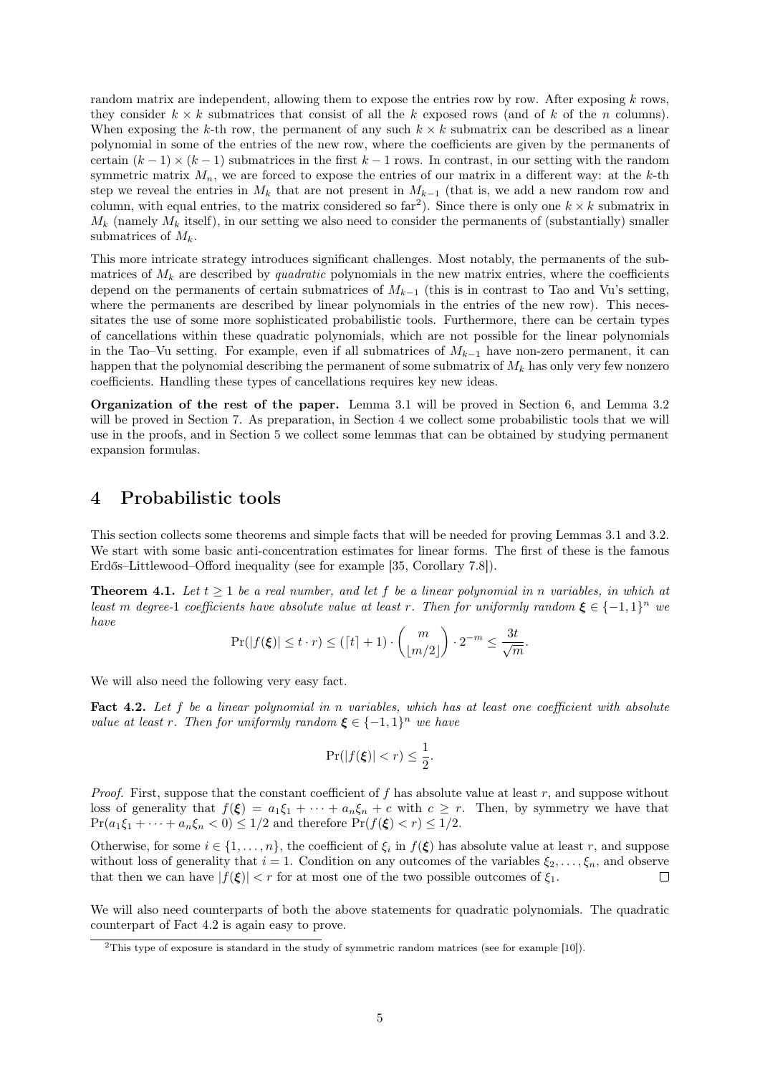random matrix are independent, allowing them to expose the entries row by row. After exposing  $k$  rows, they consider  $k \times k$  submatrices that consist of all the k exposed rows (and of k of the n columns). When exposing the k-th row, the permanent of any such  $k \times k$  submatrix can be described as a linear polynomial in some of the entries of the new row, where the coefficients are given by the permanents of certain  $(k-1) \times (k-1)$  submatrices in the first  $k-1$  rows. In contrast, in our setting with the random symmetric matrix  $M_n$ , we are forced to expose the entries of our matrix in a different way: at the k-th step we reveal the entries in  $M_k$  that are not present in  $M_{k-1}$  (that is, we add a new random row and column, with equal entries, to the matrix considered so  $far^2$  $far^2$ ). Since there is only one  $k \times k$  submatrix in  $M_k$  (namely  $M_k$  itself), in our setting we also need to consider the permanents of (substantially) smaller submatrices of  $M_k$ .

This more intricate strategy introduces significant challenges. Most notably, the permanents of the submatrices of  $M_k$  are described by *quadratic* polynomials in the new matrix entries, where the coefficients depend on the permanents of certain submatrices of  $M_{k-1}$  (this is in contrast to Tao and Vu's setting, where the permanents are described by linear polynomials in the entries of the new row). This necessitates the use of some more sophisticated probabilistic tools. Furthermore, there can be certain types of cancellations within these quadratic polynomials, which are not possible for the linear polynomials in the Tao–Vu setting. For example, even if all submatrices of  $M_{k-1}$  have non-zero permanent, it can happen that the polynomial describing the permanent of some submatrix of  $M_k$  has only very few nonzero coefficients. Handling these types of cancellations requires key new ideas.

Organization of the rest of the paper. [Lemma 3.1](#page-3-0) will be proved in [Section 6,](#page-7-0) and [Lemma 3.2](#page-3-1) will be proved in [Section 7.](#page-13-0) As preparation, in Section 4 we collect some probabilistic tools that we will use in the proofs, and in Section 5 we collect some lemmas that can be obtained by studying permanent expansion formulas.

#### <span id="page-4-4"></span>4 Probabilistic tools

This section collects some theorems and simple facts that will be needed for proving [Lemmas 3.1](#page-3-0) and [3.2.](#page-3-1) We start with some basic anti-concentration estimates for linear forms. The first of these is the famous Erdős–Littlewood–Offord inequality (see for example [\[35,](#page-20-15) Corollary 7.8]).

<span id="page-4-2"></span>**Theorem 4.1.** Let  $t \geq 1$  be a real number, and let f be a linear polynomial in n variables, in which at least m degree-1 coefficients have absolute value at least r. Then for uniformly random  $\xi \in \{-1,1\}^n$  we have

$$
\Pr(|f(\xi)| \le t \cdot r) \le ( \lceil t \rceil + 1 ) \cdot {m \choose \lfloor m/2 \rfloor} \cdot 2^{-m} \le \frac{3t}{\sqrt{m}}.
$$

<span id="page-4-1"></span>We will also need the following very easy fact.

Fact 4.2. Let f be a linear polynomial in n variables, which has at least one coefficient with absolute value at least r. Then for uniformly random  $\xi \in \{-1,1\}^n$  we have

$$
\Pr(|f(\xi)| < r) \le \frac{1}{2}.
$$

*Proof.* First, suppose that the constant coefficient of f has absolute value at least r, and suppose without loss of generality that  $f(\xi) = a_1\xi_1 + \cdots + a_n\xi_n + c$  with  $c \geq r$ . Then, by symmetry we have that  $Pr(a_1\xi_1 + \cdots + a_n\xi_n < 0) \leq 1/2$  and therefore  $Pr(f(\xi) < r) \leq 1/2$ .

Otherwise, for some  $i \in \{1, \ldots, n\}$ , the coefficient of  $\xi_i$  in  $f(\xi)$  has absolute value at least r, and suppose without loss of generality that  $i = 1$ . Condition on any outcomes of the variables  $\xi_2, \ldots, \xi_n$ , and observe that then we can have  $|f(\xi)| < r$  for at most one of the two possible outcomes of  $\xi_1$ .  $\Box$ 

We will also need counterparts of both the above statements for quadratic polynomials. The quadratic counterpart of [Fact 4.2](#page-4-1) is again easy to prove.

<span id="page-4-3"></span><span id="page-4-0"></span><sup>2</sup>This type of exposure is standard in the study of symmetric random matrices (see for example [\[10\]](#page-19-7)).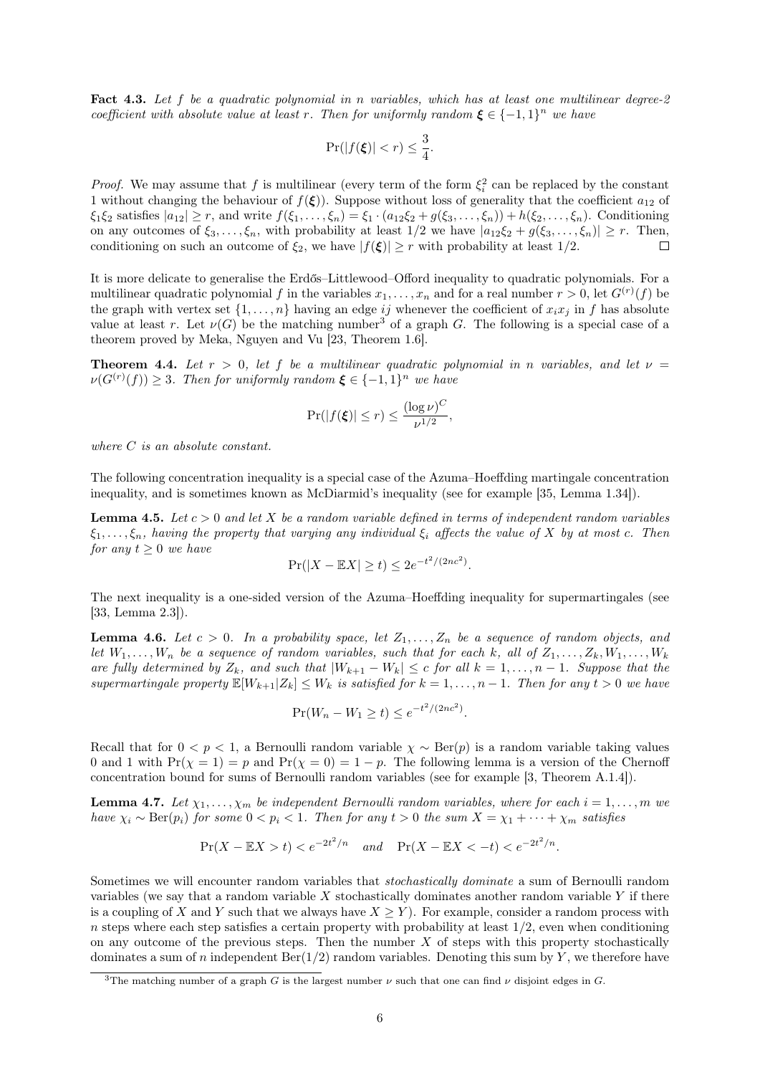Fact 4.3. Let f be a quadratic polynomial in n variables, which has at least one multilinear degree-2 coefficient with absolute value at least r. Then for uniformly random  $\xi \in \{-1,1\}^n$  we have

$$
\Pr(|f(\xi)| < r) \le \frac{3}{4}.
$$

*Proof.* We may assume that f is multilinear (every term of the form  $\xi_i^2$  can be replaced by the constant 1 without changing the behaviour of  $f(\xi)$ ). Suppose without loss of generality that the coefficient  $a_{12}$  of  $\xi_1 \xi_2$  satisfies  $|a_{12}| \geq r$ , and write  $f(\xi_1, \ldots, \xi_n) = \xi_1 \cdot (a_{12}\xi_2 + g(\xi_3, \ldots, \xi_n)) + h(\xi_2, \ldots, \xi_n)$ . Conditioning on any outcomes of  $\xi_3, \ldots, \xi_n$ , with probability at least  $1/2$  we have  $|a_{12}\xi_2 + g(\xi_3, \ldots, \xi_n)| \geq r$ . Then, conditioning on such an outcome of  $\xi_2$ , we have  $|f(\xi)| \geq r$  with probability at least 1/2.

It is more delicate to generalise the Erdős–Littlewood–Offord inequality to quadratic polynomials. For a multilinear quadratic polynomial f in the variables  $x_1, \ldots, x_n$  and for a real number  $r > 0$ , let  $G^{(r)}(f)$  be the graph with vertex set  $\{1, \ldots, n\}$  having an edge ij whenever the coefficient of  $x_i x_j$  in f has absolute value at least r. Let  $\nu(G)$  be the matching number<sup>[3](#page-5-0)</sup> of a graph G. The following is a special case of a theorem proved by Meka, Nguyen and Vu [\[23,](#page-19-21) Theorem 1.6].

<span id="page-5-2"></span>**Theorem 4.4.** Let  $r > 0$ , let f be a multilinear quadratic polynomial in n variables, and let  $\nu =$  $\nu(G^{(r)}(f)) \geq 3$ . Then for uniformly random  $\xi \in \{-1,1\}^n$  we have

$$
\Pr(|f(\xi)| \le r) \le \frac{(\log \nu)^C}{\nu^{1/2}},
$$

where C is an absolute constant.

The following concentration inequality is a special case of the Azuma–Hoeffding martingale concentration inequality, and is sometimes known as McDiarmid's inequality (see for example [\[35,](#page-20-15) Lemma 1.34]).

<span id="page-5-4"></span>**Lemma 4.5.** Let  $c > 0$  and let X be a random variable defined in terms of independent random variables  $\xi_1, \ldots, \xi_n$ , having the property that varying any individual  $\xi_i$  affects the value of X by at most c. Then for any  $t \geq 0$  we have

$$
\Pr(|X - \mathbb{E}X| \ge t) \le 2e^{-t^2/(2nc^2)}.
$$

The next inequality is a one-sided version of the Azuma–Hoeffding inequality for supermartingales (see [\[33,](#page-20-8) Lemma 2.3]).

<span id="page-5-3"></span>**Lemma 4.6.** Let  $c > 0$ . In a probability space, let  $Z_1, \ldots, Z_n$  be a sequence of random objects, and let  $W_1, \ldots, W_n$  be a sequence of random variables, such that for each k, all of  $Z_1, \ldots, Z_k, W_1, \ldots, W_k$ are fully determined by  $Z_k$ , and such that  $|W_{k+1} - W_k| \le c$  for all  $k = 1, ..., n-1$ . Suppose that the supermartingale property  $\mathbb{E}[W_{k+1}|Z_k] \leq W_k$  is satisfied for  $k = 1, \ldots, n-1$ . Then for any  $t > 0$  we have

$$
\Pr(W_n - W_1 \ge t) \le e^{-t^2/(2nc^2)}.
$$

Recall that for  $0 < p < 1$ , a Bernoulli random variable  $\chi \sim \text{Ber}(p)$  is a random variable taking values 0 and 1 with  $Pr(\chi = 1) = p$  and  $Pr(\chi = 0) = 1 - p$ . The following lemma is a version of the Chernoff concentration bound for sums of Bernoulli random variables (see for example [\[3,](#page-18-2) Theorem A.1.4]).

<span id="page-5-1"></span>**Lemma 4.7.** Let  $\chi_1, \ldots, \chi_m$  be independent Bernoulli random variables, where for each  $i = 1, \ldots, m$  we have  $\chi_i \sim \text{Ber}(p_i)$  for some  $0 \le p_i \le 1$ . Then for any  $t > 0$  the sum  $X = \chi_1 + \cdots + \chi_m$  satisfies

$$
\Pr(X - \mathbb{E}X > t) < e^{-2t^2/n} \quad \text{and} \quad \Pr(X - \mathbb{E}X < -t) < e^{-2t^2/n}.
$$

Sometimes we will encounter random variables that *stochastically dominate* a sum of Bernoulli random variables (we say that a random variable  $X$  stochastically dominates another random variable  $Y$  if there is a coupling of X and Y such that we always have  $X \geq Y$ . For example, consider a random process with  $n$  steps where each step satisfies a certain property with probability at least  $1/2$ , even when conditioning on any outcome of the previous steps. Then the number  $X$  of steps with this property stochastically dominates a sum of n independent  $\text{Ber}(1/2)$  random variables. Denoting this sum by Y, we therefore have

<span id="page-5-0"></span><sup>&</sup>lt;sup>3</sup>The matching number of a graph G is the largest number  $\nu$  such that one can find  $\nu$  disjoint edges in G.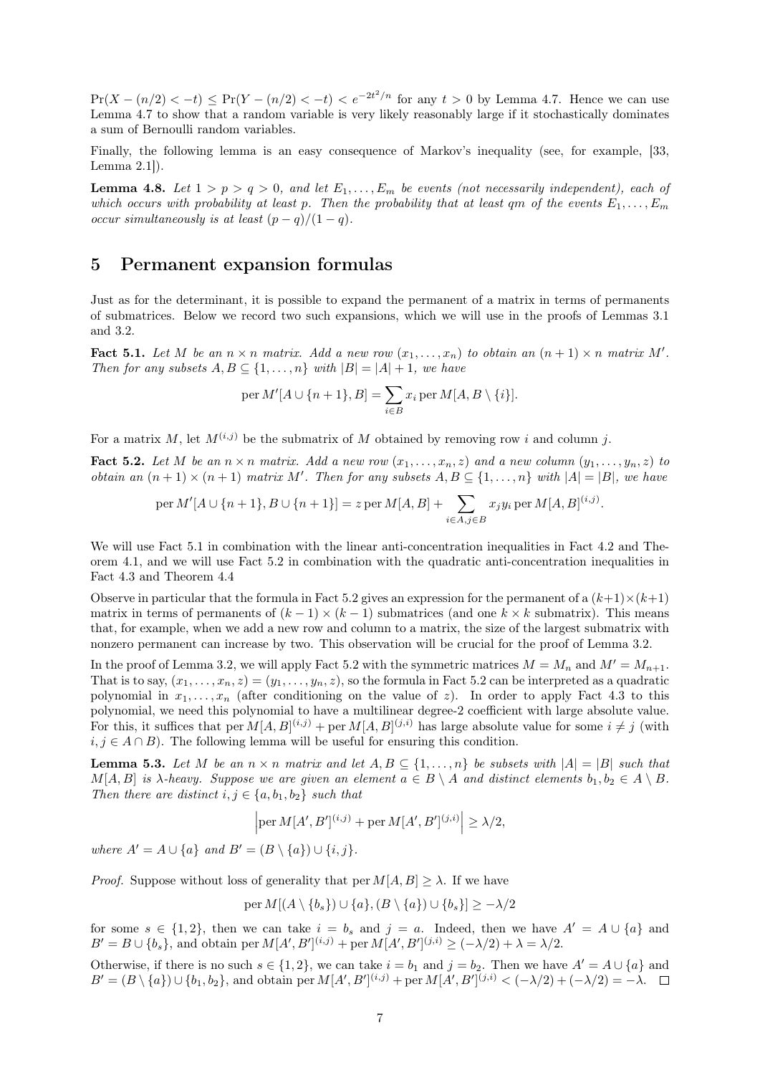$Pr(X - (n/2) < -t) \le Pr(Y - (n/2) < -t) < e^{-2t^2/n}$  for any  $t > 0$  by [Lemma 4.7.](#page-5-1) Hence we can use [Lemma 4.7](#page-5-1) to show that a random variable is very likely reasonably large if it stochastically dominates a sum of Bernoulli random variables.

Finally, the following lemma is an easy consequence of Markov's inequality (see, for example, [\[33,](#page-20-8) Lemma 2.1]).

<span id="page-6-0"></span>**Lemma 4.8.** Let  $1 > p > q > 0$ , and let  $E_1, \ldots, E_m$  be events (not necessarily independent), each of which occurs with probability at least p. Then the probability that at least qm of the events  $E_1, \ldots, E_m$ occur simultaneously is at least  $(p-q)/(1-q)$ .

### 5 Permanent expansion formulas

Just as for the determinant, it is possible to expand the permanent of a matrix in terms of permanents of submatrices. Below we record two such expansions, which we will use in the proofs of [Lemmas 3.1](#page-3-0) and [3.2.](#page-3-1)

<span id="page-6-1"></span>Fact 5.1. Let M be an  $n \times n$  matrix. Add a new row  $(x_1, \ldots, x_n)$  to obtain an  $(n + 1) \times n$  matrix M'. Then for any subsets  $A, B \subseteq \{1, ..., n\}$  with  $|B| = |A| + 1$ , we have

$$
\operatorname{per} M'[A \cup \{n+1\}, B] = \sum_{i \in B} x_i \operatorname{per} M[A, B \setminus \{i\}].
$$

For a matrix M, let  $M^{(i,j)}$  be the submatrix of M obtained by removing row i and column j.

<span id="page-6-2"></span>**Fact 5.2.** Let M be an  $n \times n$  matrix. Add a new row  $(x_1, \ldots, x_n, z)$  and a new column  $(y_1, \ldots, y_n, z)$  to obtain an  $(n + 1) \times (n + 1)$  matrix M'. Then for any subsets  $A, B \subseteq \{1, ..., n\}$  with  $|A| = |B|$ , we have

$$
\text{per } M'[A \cup \{n+1\}, B \cup \{n+1\}] = z \text{ per } M[A, B] + \sum_{i \in A, j \in B} x_j y_i \text{ per } M[A, B]^{(i,j)}.
$$

We will use [Fact 5.1](#page-6-1) in combination with the linear anti-concentration inequalities in [Fact 4.2](#page-4-1) and [The](#page-4-2)[orem 4.1,](#page-4-2) and we will use [Fact 5.2](#page-6-2) in combination with the quadratic anti-concentration inequalities in [Fact 4.3](#page-4-3) and [Theorem 4.4](#page-5-2)

Observe in particular that the formula in [Fact 5.2](#page-6-2) gives an expression for the permanent of a  $(k+1)\times(k+1)$ matrix in terms of permanents of  $(k-1) \times (k-1)$  submatrices (and one  $k \times k$  submatrix). This means that, for example, when we add a new row and column to a matrix, the size of the largest submatrix with nonzero permanent can increase by two. This observation will be crucial for the proof of [Lemma 3.2.](#page-3-1)

In the proof of [Lemma 3.2,](#page-3-1) we will apply [Fact 5.2](#page-6-2) with the symmetric matrices  $M = M_n$  and  $M' = M_{n+1}$ . That is to say,  $(x_1, \ldots, x_n, z) = (y_1, \ldots, y_n, z)$ , so the formula in [Fact 5.2](#page-6-2) can be interpreted as a quadratic polynomial in  $x_1, \ldots, x_n$  (after conditioning on the value of z). In order to apply [Fact 4.3](#page-4-3) to this polynomial, we need this polynomial to have a multilinear degree-2 coefficient with large absolute value. For this, it suffices that per  $M[A, B]^{(i,j)}$  + per  $M[A, B]^{(j,i)}$  has large absolute value for some  $i \neq j$  (with  $i, j \in A \cap B$ ). The following lemma will be useful for ensuring this condition.

<span id="page-6-3"></span>**Lemma 5.3.** Let M be an  $n \times n$  matrix and let  $A, B \subseteq \{1, ..., n\}$  be subsets with  $|A| = |B|$  such that  $M[A, B]$  is  $\lambda$ -heavy. Suppose we are given an element  $a \in B \setminus A$  and distinct elements  $b_1, b_2 \in A \setminus B$ . Then there are distinct  $i, j \in \{a, b_1, b_2\}$  such that

$$
\left| \text{per } M[A', B']^{(i,j)} + \text{per } M[A', B']^{(j,i)} \right| \ge \lambda/2,
$$

where  $A' = A \cup \{a\}$  and  $B' = (B \setminus \{a\}) \cup \{i, j\}.$ 

*Proof.* Suppose without loss of generality that per  $M[A, B] \geq \lambda$ . If we have

$$
\text{per } M[(A \setminus \{b_s\}) \cup \{a\}, (B \setminus \{a\}) \cup \{b_s\}] \ge -\lambda/2
$$

for some  $s \in \{1,2\}$ , then we can take  $i = b_s$  and  $j = a$ . Indeed, then we have  $A' = A \cup \{a\}$  and  $B' = B \cup \{b_s\}$ , and obtain per  $M[A', B']^{(i,j)}$  + per  $M[A', B']^{(j,i)} \geq (-\lambda/2) + \lambda = \lambda/2$ .

Otherwise, if there is no such  $s \in \{1,2\}$ , we can take  $i = b_1$  and  $j = b_2$ . Then we have  $A' = A \cup \{a\}$  and  $B' = (B \setminus \{a\}) \cup \{b_1, b_2\}$ , and obtain per  $M[A', B']^{(i,j)}$  + per  $M[A', B']^{(j,i)} < (-\lambda/2) + (-\lambda/2) = -\lambda$ .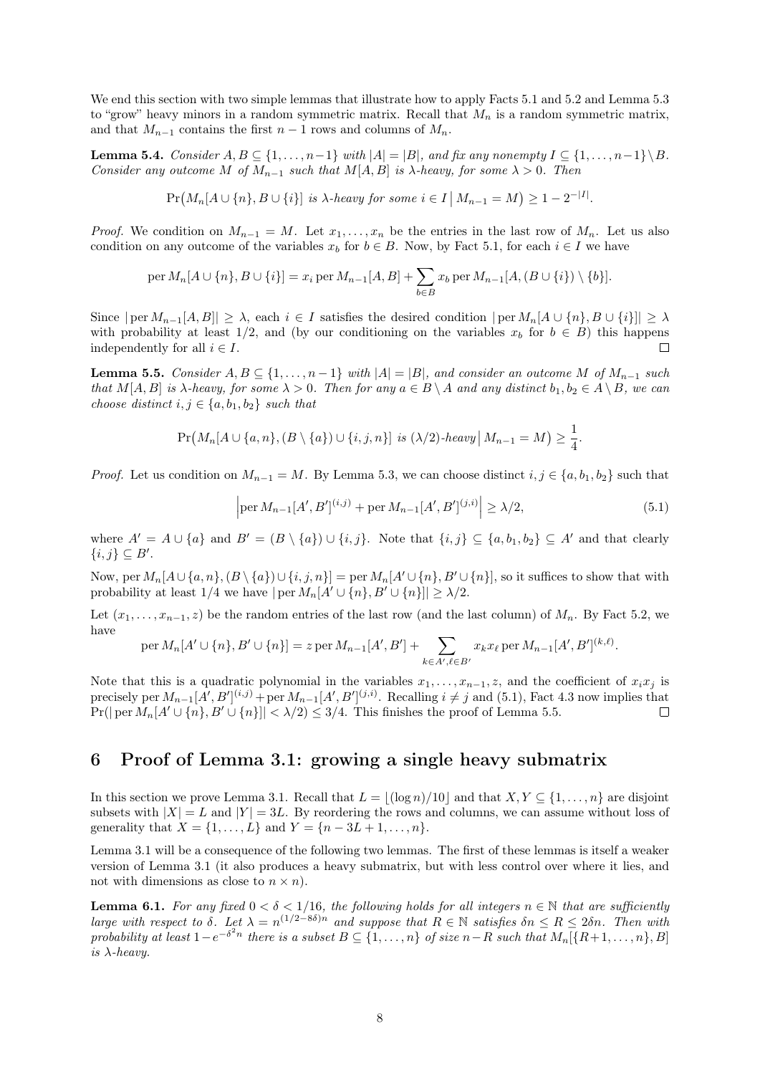We end this section with two simple lemmas that illustrate how to apply [Facts 5.1](#page-6-1) and [5.2](#page-6-2) and [Lemma 5.3](#page-6-3) to "grow" heavy minors in a random symmetric matrix. Recall that  $M_n$  is a random symmetric matrix, and that  $M_{n-1}$  contains the first  $n-1$  rows and columns of  $M_n$ .

<span id="page-7-4"></span>**Lemma 5.4.** Consider  $A, B \subseteq \{1, ..., n-1\}$  with  $|A| = |B|$ , and fix any nonempty  $I \subseteq \{1, ..., n-1\} \setminus B$ . Consider any outcome M of  $M_{n-1}$  such that  $M[A, B]$  is  $\lambda$ -heavy, for some  $\lambda > 0$ . Then

$$
\Pr(M_n[A \cup \{n\}, B \cup \{i\}] \text{ is } \lambda \text{-heavy for some } i \in I \mid M_{n-1} = M) \ge 1 - 2^{-|I|}.
$$

*Proof.* We condition on  $M_{n-1} = M$ . Let  $x_1, \ldots, x_n$  be the entries in the last row of  $M_n$ . Let us also condition on any outcome of the variables  $x_b$  for  $b \in B$ . Now, by [Fact 5.1,](#page-6-1) for each  $i \in I$  we have

$$
\text{per } M_n[A \cup \{n\}, B \cup \{i\}] = x_i \text{ per } M_{n-1}[A, B] + \sum_{b \in B} x_b \text{ per } M_{n-1}[A, (B \cup \{i\}) \setminus \{b\}].
$$

Since  $|\text{per }M_{n-1}[A,B]| \geq \lambda$ , each  $i \in I$  satisfies the desired condition  $|\text{per }M_n[A\cup\{n\},B\cup\{i\}]| \geq \lambda$ with probability at least  $1/2$ , and (by our conditioning on the variables  $x_b$  for  $b \in B$ ) this happens independently for all  $i \in I$ .  $\Box$ 

<span id="page-7-2"></span>**Lemma 5.5.** Consider  $A, B \subseteq \{1, ..., n-1\}$  with  $|A| = |B|$ , and consider an outcome M of  $M_{n-1}$  such that  $M[A, B]$  is  $\lambda$ -heavy, for some  $\lambda > 0$ . Then for any  $a \in B \setminus A$  and any distinct  $b_1, b_2 \in A \setminus B$ , we can choose distinct  $i, j \in \{a, b_1, b_2\}$  such that

$$
Pr(M_n[A \cup \{a, n\}, (B \setminus \{a\}) \cup \{i, j, n\}] \text{ is } (\lambda/2) \text{-}heavy \mid M_{n-1} = M) \geq \frac{1}{4}.
$$

*Proof.* Let us condition on  $M_{n-1} = M$ . By [Lemma 5.3,](#page-6-3) we can choose distinct  $i, j \in \{a, b_1, b_2\}$  such that

<span id="page-7-1"></span>
$$
\left| \operatorname{per} M_{n-1}[A', B']^{(i,j)} + \operatorname{per} M_{n-1}[A', B']^{(j,i)} \right| \ge \lambda/2, \tag{5.1}
$$

where  $A' = A \cup \{a\}$  and  $B' = (B \setminus \{a\}) \cup \{i, j\}$ . Note that  $\{i, j\} \subseteq \{a, b_1, b_2\} \subseteq A'$  and that clearly  ${i,j}\subseteq B'.$ 

Now, per  $M_n[A\cup \{a, n\}, (B\setminus \{a\})\cup \{i, j, n\}] =$  per  $M_n[A'\cup \{n\}, B'\cup \{n\}]$ , so it suffices to show that with probability at least 1/4 we have  $|\operatorname{per} M_n[A' \cup \{n\}, B' \cup \{n\}]| \geq \lambda/2$ .

Let  $(x_1, \ldots, x_{n-1}, z)$  be the random entries of the last row (and the last column) of  $M_n$ . By [Fact 5.2,](#page-6-2) we have

$$
\text{per } M_n[A' \cup \{n\}, B' \cup \{n\}] = z \text{ per } M_{n-1}[A', B'] + \sum_{k \in A', \ell \in B'} x_k x_\ell \text{ per } M_{n-1}[A', B']^{(k, \ell)}.
$$

Note that this is a quadratic polynomial in the variables  $x_1, \ldots, x_{n-1}, z$ , and the coefficient of  $x_i x_j$  is precisely per  $M_{n-1}[A',B']^{(i,j)}$  + per  $M_{n-1}[A',B']^{(j,i)}$ . Recalling  $i \neq j$  and [\(5.1\),](#page-7-1) [Fact 4.3](#page-4-3) now implies that  $Pr(|\text{per }M_n[A' \cup \{n\}, B' \cup \{n\}| < \lambda/2) \leq 3/4$ . This finishes the proof of [Lemma 5.5.](#page-7-2)  $\Box$ 

#### <span id="page-7-0"></span>6 Proof of [Lemma 3.1:](#page-3-0) growing a single heavy submatrix

In this section we prove [Lemma 3.1.](#page-3-0) Recall that  $L = |(\log n)/10|$  and that  $X, Y \subseteq \{1, ..., n\}$  are disjoint subsets with  $|X| = L$  and  $|Y| = 3L$ . By reordering the rows and columns, we can assume without loss of generality that  $X = \{1, ..., L\}$  and  $Y = \{n - 3L + 1, ..., n\}.$ 

[Lemma 3.1](#page-3-0) will be a consequence of the following two lemmas. The first of these lemmas is itself a weaker version of [Lemma 3.1](#page-3-0) (it also produces a heavy submatrix, but with less control over where it lies, and not with dimensions as close to  $n \times n$ ).

<span id="page-7-3"></span>**Lemma 6.1.** For any fixed  $0 < \delta < 1/16$ , the following holds for all integers  $n \in \mathbb{N}$  that are sufficiently large with respect to  $\delta$ . Let  $\lambda = n^{(1/2 - 8\delta)n}$  and suppose that  $R \in \mathbb{N}$  satisfies  $\delta n \le R \le 2\delta n$ . Then with probability at least  $1-e^{-\delta^2 n}$  there is a subset  $B\subseteq\{1,\ldots,n\}$  of size  $n-R$  such that  $M_n[\{R+1,\ldots,n\},B]$ is  $\lambda$ -heavy.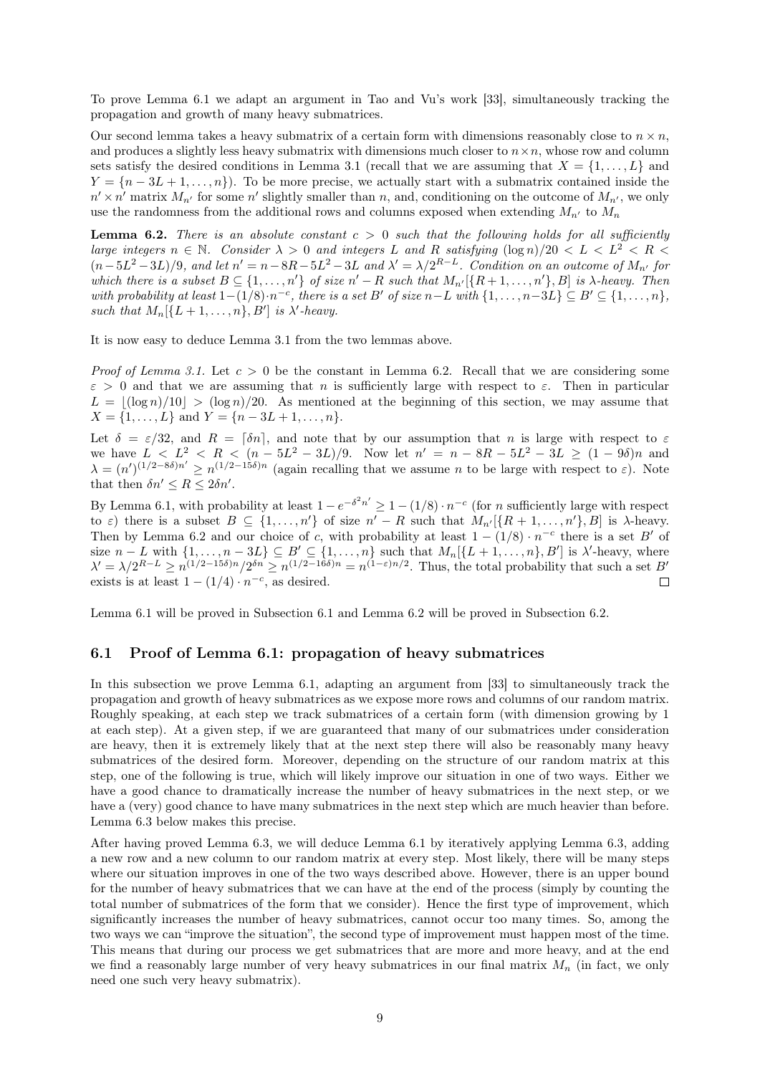To prove [Lemma 6.1](#page-7-3) we adapt an argument in Tao and Vu's work [\[33\]](#page-20-8), simultaneously tracking the propagation and growth of many heavy submatrices.

Our second lemma takes a heavy submatrix of a certain form with dimensions reasonably close to  $n \times n$ , and produces a slightly less heavy submatrix with dimensions much closer to  $n \times n$ , whose row and column sets satisfy the desired conditions in [Lemma 3.1](#page-3-0) (recall that we are assuming that  $X = \{1, \ldots, L\}$  and  $Y = \{n-3L+1,\ldots,n\}$ . To be more precise, we actually start with a submatrix contained inside the  $n' \times n'$  matrix  $M_{n'}$  for some n' slightly smaller than n, and, conditioning on the outcome of  $M_{n'}$ , we only use the randomness from the additional rows and columns exposed when extending  $M_{n'}$  to  $M_n$ 

<span id="page-8-0"></span>**Lemma 6.2.** There is an absolute constant  $c > 0$  such that the following holds for all sufficiently large integers  $n \in \mathbb{N}$ . Consider  $\lambda > 0$  and integers L and R satisfying  $(\log n)/20 < L < L^2 < R <$  $(n-5L^2-3L)/9$ , and let  $n' = n-8R-5L^2-3L$  and  $\lambda' = \lambda/2^{R-L}$ . Condition on an outcome of  $M_{n'}$  for which there is a subset  $B \subseteq \{1, \ldots, n'\}$  of size  $n' - R$  such that  $M_{n'}[\{R+1, \ldots, n'\}, B]$  is  $\lambda$ -heavy. Then with probability at least  $1-(1/8)\cdot n^{-c}$ , there is a set B' of size  $n-L$  with  $\{1,\ldots,n-3L\} \subseteq B' \subseteq \{1,\ldots,n\}$ , such that  $M_n[\{L+1,\ldots,n\},B']$  is  $\lambda'$ -heavy.

It is now easy to deduce [Lemma 3.1](#page-3-0) from the two lemmas above.

*Proof of [Lemma 3.1.](#page-3-0)* Let  $c > 0$  be the constant in [Lemma 6.2.](#page-8-0) Recall that we are considering some  $\varepsilon > 0$  and that we are assuming that n is sufficiently large with respect to  $\varepsilon$ . Then in particular  $L = |(\log n)/10| > (\log n)/20$ . As mentioned at the beginning of this section, we may assume that  $X = \{1, \ldots, L\}$  and  $Y = \{n - 3L + 1, \ldots, n\}.$ 

Let  $\delta = \varepsilon/32$ , and  $R = \lceil \delta n \rceil$ , and note that by our assumption that n is large with respect to  $\varepsilon$ we have  $L < L^2 < R < (n - 5L^2 - 3L)/9$ . Now let  $n' = n - 8R - 5L^2 - 3L \ge (1 - 9\delta)n$  and  $\lambda = (n')^{(1/2 - 8\delta)n'} \ge n^{(1/2 - 15\delta)n}$  (again recalling that we assume *n* to be large with respect to  $\varepsilon$ ). Note that then  $\delta n' \leq R \leq 2\delta n'$ .

By [Lemma 6.1,](#page-7-3) with probability at least  $1 - e^{-\delta^2 n'} \ge 1 - (1/8) \cdot n^{-c}$  (for *n* sufficiently large with respect to  $\varepsilon$ ) there is a subset  $B \subseteq \{1, \ldots, n'\}$  of size  $n' - R$  such that  $M_{n'}[\{R + 1, \ldots, n'\}, B]$  is  $\lambda$ -heavy. Then by [Lemma 6.2](#page-8-0) and our choice of c, with probability at least  $1 - (1/8) \cdot n^{-c}$  there is a set B' of size  $n - L$  with  $\{1, \ldots, n - 3L\} \subseteq B' \subseteq \{1, \ldots, n\}$  such that  $M_n[\{L + 1, \ldots, n\}, B']$  is  $\lambda'$ -heavy, where  $\lambda' = \lambda/2^{R-L} \geq n^{(1/2-15\delta)n}/2^{\delta n} \geq n^{(1/2-16\delta)n} = n^{(1-\varepsilon)n/2}$ . Thus, the total probability that such a set B' exists is at least  $1 - (1/4) \cdot n^{-c}$ , as desired.  $\Box$ 

[Lemma 6.1](#page-7-3) will be proved in [Subsection 6.1](#page-8-1) and [Lemma 6.2](#page-8-0) will be proved in [Subsection 6.2.](#page-11-0)

#### <span id="page-8-1"></span>6.1 Proof of [Lemma 6.1:](#page-7-3) propagation of heavy submatrices

In this subsection we prove [Lemma 6.1,](#page-7-3) adapting an argument from [\[33\]](#page-20-8) to simultaneously track the propagation and growth of heavy submatrices as we expose more rows and columns of our random matrix. Roughly speaking, at each step we track submatrices of a certain form (with dimension growing by 1 at each step). At a given step, if we are guaranteed that many of our submatrices under consideration are heavy, then it is extremely likely that at the next step there will also be reasonably many heavy submatrices of the desired form. Moreover, depending on the structure of our random matrix at this step, one of the following is true, which will likely improve our situation in one of two ways. Either we have a good chance to dramatically increase the number of heavy submatrices in the next step, or we have a (very) good chance to have many submatrices in the next step which are much heavier than before. [Lemma 6.3](#page-8-2) below makes this precise.

<span id="page-8-2"></span>After having proved [Lemma 6.3,](#page-8-2) we will deduce [Lemma 6.1](#page-7-3) by iteratively applying [Lemma 6.3,](#page-8-2) adding a new row and a new column to our random matrix at every step. Most likely, there will be many steps where our situation improves in one of the two ways described above. However, there is an upper bound for the number of heavy submatrices that we can have at the end of the process (simply by counting the total number of submatrices of the form that we consider). Hence the first type of improvement, which significantly increases the number of heavy submatrices, cannot occur too many times. So, among the two ways we can "improve the situation", the second type of improvement must happen most of the time. This means that during our process we get submatrices that are more and more heavy, and at the end we find a reasonably large number of very heavy submatrices in our final matrix  $M_n$  (in fact, we only need one such very heavy submatrix).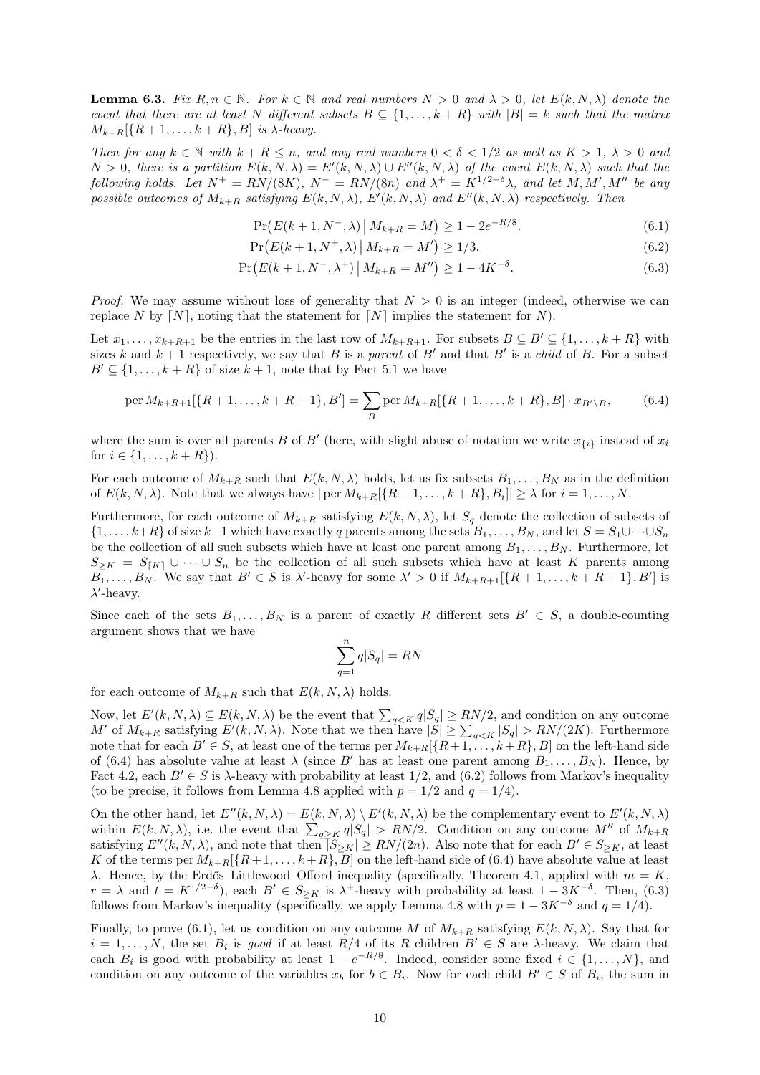**Lemma 6.3.** Fix  $R, n \in \mathbb{N}$ . For  $k \in \mathbb{N}$  and real numbers  $N > 0$  and  $\lambda > 0$ , let  $E(k, N, \lambda)$  denote the event that there are at least N different subsets  $B \subseteq \{1, \ldots, k+R\}$  with  $|B| = k$  such that the matrix  $M_{k+R}[\{R+1,\ldots,k+R\},B]$  is  $\lambda$ -heavy.

Then for any  $k \in \mathbb{N}$  with  $k + R \leq n$ , and any real numbers  $0 < \delta < 1/2$  as well as  $K > 1$ ,  $\lambda > 0$  and  $N > 0$ , there is a partition  $E(k, N, \lambda) = E'(k, N, \lambda) \cup E''(k, N, \lambda)$  of the event  $E(k, N, \lambda)$  such that the following holds. Let  $N^+ = RN/(8K)$ ,  $N^- = RN/(8n)$  and  $\lambda^+ = K^{1/2-\delta}\lambda$ , and let  $M, M', M''$  be any possible outcomes of  $M_{k+R}$  satisfying  $E(k, N, \lambda)$ ,  $E'(k, N, \lambda)$  and  $E''(k, N, \lambda)$  respectively. Then

<span id="page-9-3"></span><span id="page-9-2"></span><span id="page-9-1"></span>
$$
\Pr(E(k+1, N^-, \lambda) \, | \, M_{k+R} = M) \ge 1 - 2e^{-R/8}.\tag{6.1}
$$

$$
\Pr(E(k+1, N^+, \lambda) \, | \, M_{k+R} = M') \ge 1/3. \tag{6.2}
$$

$$
\Pr(E(k+1, N^-, \lambda^+) \, \big| \, M_{k+R} = M'') \ge 1 - 4K^{-\delta}.\tag{6.3}
$$

*Proof.* We may assume without loss of generality that  $N > 0$  is an integer (indeed, otherwise we can replace N by  $[N]$ , noting that the statement for  $[N]$  implies the statement for N).

Let  $x_1, \ldots, x_{k+R+1}$  be the entries in the last row of  $M_{k+R+1}$ . For subsets  $B \subseteq B' \subseteq \{1, \ldots, k+R\}$  with sizes k and  $k + 1$  respectively, we say that B is a parent of B' and that B' is a child of B. For a subset  $B' \subseteq \{1, \ldots, k + R\}$  of size  $k + 1$ , note that by [Fact 5.1](#page-6-1) we have

<span id="page-9-0"></span>
$$
\text{per } M_{k+R+1}[\{R+1,\ldots,k+R+1\},B'] = \sum_{B} \text{per } M_{k+R}[\{R+1,\ldots,k+R\},B] \cdot x_{B'\setminus B},\tag{6.4}
$$

where the sum is over all parents B of B' (here, with slight abuse of notation we write  $x_{\{i\}}$  instead of  $x_i$ for  $i \in \{1, ..., k + R\}$ .

For each outcome of  $M_{k+R}$  such that  $E(k, N, \lambda)$  holds, let us fix subsets  $B_1, \ldots, B_N$  as in the definition of  $E(k, N, \lambda)$ . Note that we always have  $|\text{per } M_{k+R}[\{R+1, \ldots, k+R\}, B_i]| \geq \lambda$  for  $i = 1, \ldots, N$ .

Furthermore, for each outcome of  $M_{k+R}$  satisfying  $E(k, N, \lambda)$ , let  $S_q$  denote the collection of subsets of  $\{1,\ldots,k+R\}$  of size  $k+1$  which have exactly q parents among the sets  $B_1,\ldots,B_N$ , and let  $S=S_1\cup\cdots\cup S_n$ be the collection of all such subsets which have at least one parent among  $B_1, \ldots, B_N$ . Furthermore, let  $S_{\geq K} = S_{[K]} \cup \cdots \cup S_n$  be the collection of all such subsets which have at least K parents among  $B_1,\ldots,B_N$ . We say that  $B' \in S$  is  $\lambda'$ -heavy for some  $\lambda' > 0$  if  $M_{k+R+1}[\{R+1,\ldots,k+R+1\},B']$  is  $\lambda$ '-heavy.

Since each of the sets  $B_1, \ldots, B_N$  is a parent of exactly R different sets  $B' \in S$ , a double-counting argument shows that we have

$$
\sum_{q=1}^{n} q|S_q| = RN
$$

for each outcome of  $M_{k+R}$  such that  $E(k, N, \lambda)$  holds.

Now, let  $E'(k, N, \lambda) \subseteq E(k, N, \lambda)$  be the event that  $\sum_{q \leq K} q|S_q| \geq RN/2$ , and condition on any outcome M' of  $M_{k+R}$  satisfying  $E'(k, N, \lambda)$ . Note that we then have  $|S| \geq \sum_{q \leq K} |S_q| > RN/(2K)$ . Furthermore note that for each  $B' \in S$ , at least one of the terms per  $M_{k+R}[\{R+1,\ldots,k+R\},B]$  on the left-hand side of [\(6.4\)](#page-9-0) has absolute value at least  $\lambda$  (since B' has at least one parent among  $B_1, \ldots, B_N$ ). Hence, by [Fact 4.2,](#page-4-1) each  $B' \in S$  is  $\lambda$ -heavy with probability at least 1/2, and [\(6.2\)](#page-9-1) follows from Markov's inequality (to be precise, it follows from [Lemma 4.8](#page-6-0) applied with  $p = 1/2$  and  $q = 1/4$ ).

On the other hand, let  $E''(k, N, \lambda) = E(k, N, \lambda) \setminus E'(k, N, \lambda)$  be the complementary event to  $E'(k, N, \lambda)$ within  $E(k, N, \lambda)$ , i.e. the event that  $\sum_{q \geq K} q|S_q| > RN/2$ . Condition on any outcome M'' of  $M_{k+R}$ satisfying  $E''(k, N, \lambda)$ , and note that then  $|\overline{S}_{\geq K}| \geq RN/(2n)$ . Also note that for each  $B' \in S_{\geq K}$ , at least K of the terms per  $M_{k+R}[\{R+1,\ldots,k+R\},\overline{B}]$  on the left-hand side of [\(6.4\)](#page-9-0) have absolute value at least λ. Hence, by the Erdős–Littlewood–Offord inequality (specifically, [Theorem 4.1,](#page-4-2) applied with  $m = K$ ,  $r = \lambda$  and  $t = K^{1/2-\delta}$ , each  $B' \in S_{\geq K}$  is  $\lambda^+$ -heavy with probability at least  $1 - 3K^{-\delta}$ . Then, [\(6.3\)](#page-9-2) follows from Markov's inequality (specifically, we apply [Lemma 4.8](#page-6-0) with  $p = 1 - 3K^{-\delta}$  and  $q = 1/4$ ).

Finally, to prove [\(6.1\),](#page-9-3) let us condition on any outcome M of  $M_{k+R}$  satisfying  $E(k, N, \lambda)$ . Say that for  $i = 1, \ldots, N$ , the set  $B_i$  is good if at least  $R/4$  of its R children  $B' \in S$  are  $\lambda$ -heavy. We claim that each  $B_i$  is good with probability at least  $1 - e^{-R/8}$ . Indeed, consider some fixed  $i \in \{1, ..., N\}$ , and condition on any outcome of the variables  $x_b$  for  $b \in B_i$ . Now for each child  $B' \in S$  of  $B_i$ , the sum in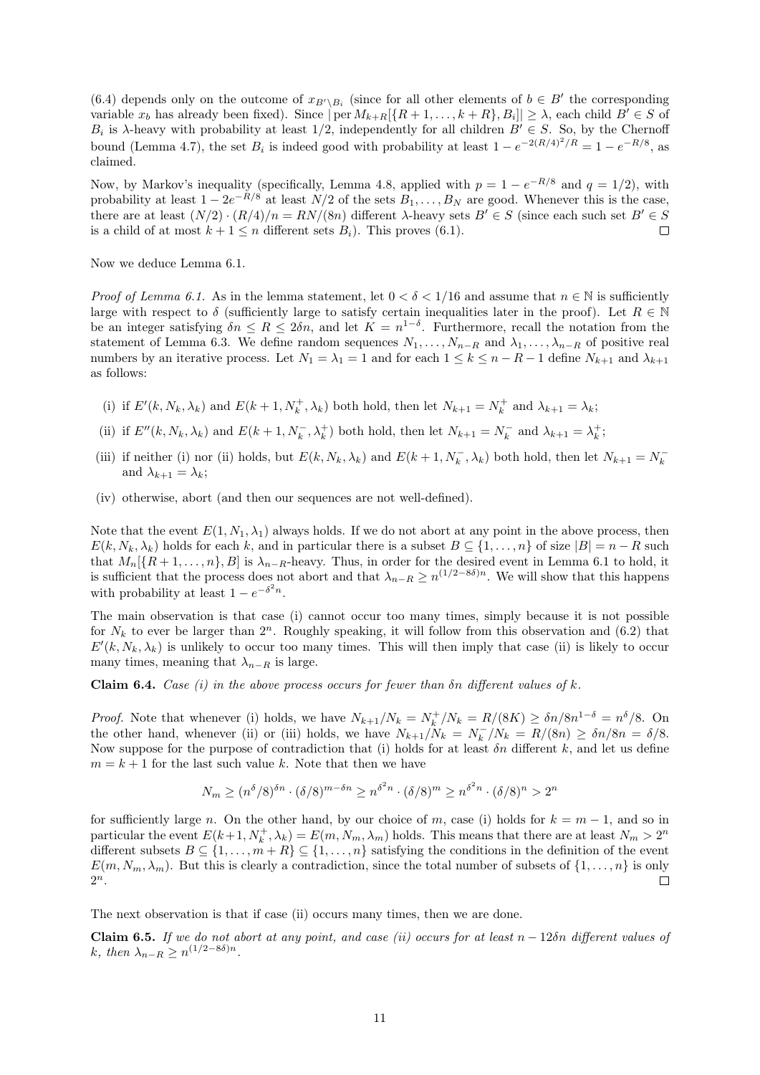[\(6.4\)](#page-9-0) depends only on the outcome of  $x_{B\setminus B_i}$  (since for all other elements of  $b \in B'$  the corresponding variable  $x_b$  has already been fixed). Since  $|\text{per } M_{k+R}[\{R+1,\ldots,k+R\},B_i]| \geq \lambda$ , each child  $B' \in S$  of  $B_i$  is  $\lambda$ -heavy with probability at least 1/2, independently for all children  $B' \in S$ . So, by the Chernoff bound [\(Lemma 4.7\)](#page-5-1), the set  $B_i$  is indeed good with probability at least  $1 - e^{-2(R/4)^2/R} = 1 - e^{-R/8}$ , as claimed.

Now, by Markov's inequality (specifically, [Lemma 4.8,](#page-6-0) applied with  $p = 1 - e^{-R/8}$  and  $q = 1/2$ ), with probability at least  $1 - 2e^{-R/8}$  at least  $N/2$  of the sets  $B_1, \ldots, B_N$  are good. Whenever this is the case, there are at least  $(N/2) \cdot (R/4)/n = RN/(8n)$  different  $\lambda$ -heavy sets  $B' \in S$  (since each such set  $B' \in S$ is a child of at most  $k + 1 \leq n$  different sets  $B_i$ ). This proves [\(6.1\).](#page-9-3)  $\Box$ 

Now we deduce [Lemma 6.1.](#page-7-3)

*Proof of [Lemma 6.1.](#page-7-3)* As in the lemma statement, let  $0 < \delta < 1/16$  and assume that  $n \in \mathbb{N}$  is sufficiently large with respect to  $\delta$  (sufficiently large to satisfy certain inequalities later in the proof). Let  $R \in \mathbb{N}$ be an integer satisfying  $\delta n \leq R \leq 2\delta n$ , and let  $K = n^{1-\delta}$ . Furthermore, recall the notation from the statement of [Lemma 6.3.](#page-8-2) We define random sequences  $N_1, \ldots, N_{n-R}$  and  $\lambda_1, \ldots, \lambda_{n-R}$  of positive real numbers by an iterative process. Let  $N_1 = \lambda_1 = 1$  and for each  $1 \le k \le n - R - 1$  define  $N_{k+1}$  and  $\lambda_{k+1}$ as follows:

- (i) if  $E'(k, N_k, \lambda_k)$  and  $E(k+1, N_k^+, \lambda_k)$  both hold, then let  $N_{k+1} = N_k^+$  and  $\lambda_{k+1} = \lambda_k$ ;
- (ii) if  $E''(k, N_k, \lambda_k)$  and  $E(k+1, N_k^-, \lambda_k^+)$  both hold, then let  $N_{k+1} = N_k^-$  and  $\lambda_{k+1} = \lambda_k^+$ ;
- (iii) if neither (i) nor (ii) holds, but  $E(k, N_k, \lambda_k)$  and  $E(k+1, N_k^-, \lambda_k)$  both hold, then let  $N_{k+1} = N_k^$ and  $\lambda_{k+1} = \lambda_k$ ;
- (iv) otherwise, abort (and then our sequences are not well-defined).

Note that the event  $E(1, N_1, \lambda_1)$  always holds. If we do not abort at any point in the above process, then  $E(k, N_k, \lambda_k)$  holds for each k, and in particular there is a subset  $B \subseteq \{1, \ldots, n\}$  of size  $|B| = n - R$  such that  $M_n[\{R+1,\ldots,n\},B]$  is  $\lambda_{n-R}$ -heavy. Thus, in order for the desired event in [Lemma 6.1](#page-7-3) to hold, it is sufficient that the process does not abort and that  $\lambda_{n-R} \geq n^{(1/2-8\delta)n}$ . We will show that this happens with probability at least  $1 - e^{-\delta^2 n}$ .

The main observation is that case (i) cannot occur too many times, simply because it is not possible for  $N_k$  to ever be larger than  $2^n$ . Roughly speaking, it will follow from this observation and [\(6.2\)](#page-9-1) that  $E'(k, N_k, \lambda_k)$  is unlikely to occur too many times. This will then imply that case (ii) is likely to occur many times, meaning that  $\lambda_{n-R}$  is large.

<span id="page-10-0"></span>**Claim 6.4.** Case (i) in the above process occurs for fewer than  $\delta n$  different values of k.

*Proof.* Note that whenever (i) holds, we have  $N_{k+1}/N_k = N_k^+/N_k = R/(8K) \ge \delta n/8n^{1-\delta} = n^{\delta}/8$ . On the other hand, whenever (ii) or (iii) holds, we have  $N_{k+1}/N_k = N_k^-/N_k = R/(8n) \ge \delta n/8n = \delta/8$ . Now suppose for the purpose of contradiction that (i) holds for at least  $\delta n$  different k, and let us define  $m = k + 1$  for the last such value k. Note that then we have

$$
N_m \ge (n^{\delta}/8)^{\delta n} \cdot (\delta/8)^{m-\delta n} \ge n^{\delta^2 n} \cdot (\delta/8)^m \ge n^{\delta^2 n} \cdot (\delta/8)^n > 2^n
$$

for sufficiently large n. On the other hand, by our choice of m, case (i) holds for  $k = m - 1$ , and so in particular the event  $E(k+1, N_k^+, \lambda_k) = E(m, N_m, \lambda_m)$  holds. This means that there are at least  $N_m > 2^n$ different subsets  $B \subseteq \{1, \ldots, m+R\} \subseteq \{1, \ldots, n\}$  satisfying the conditions in the definition of the event  $E(m, N_m, \lambda_m)$ . But this is clearly a contradiction, since the total number of subsets of  $\{1, \ldots, n\}$  is only  $2^n$ .  $\Box$ 

The next observation is that if case (ii) occurs many times, then we are done.

Claim 6.5. If we do not abort at any point, and case (ii) occurs for at least  $n - 12\delta n$  different values of k, then  $\lambda_{n-R} \geq n^{(1/2 - 8\delta)n}$ .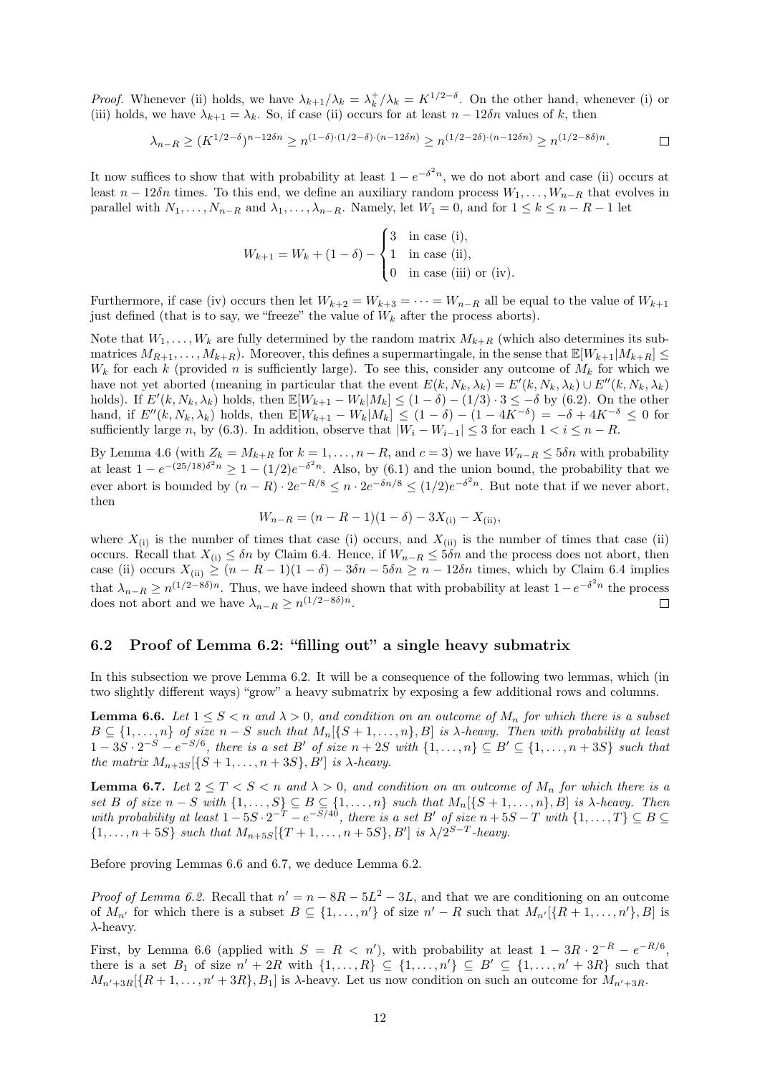*Proof.* Whenever (ii) holds, we have  $\lambda_{k+1}/\lambda_k = \lambda_k^+/\lambda_k = K^{1/2-\delta}$ . On the other hand, whenever (i) or (iii) holds, we have  $\lambda_{k+1} = \lambda_k$ . So, if case (ii) occurs for at least  $n - 12\delta n$  values of k, then

$$
\lambda_{n-R} \ge (K^{1/2-\delta})^{n-12\delta n} \ge n^{(1-\delta)\cdot(1/2-\delta)\cdot(n-12\delta n)} \ge n^{(1/2-2\delta)\cdot(n-12\delta n)} \ge n^{(1/2-8\delta)n}.
$$

It now suffices to show that with probability at least  $1 - e^{-\delta^2 n}$ , we do not abort and case (ii) occurs at least  $n - 12\delta n$  times. To this end, we define an auxiliary random process  $W_1, \ldots, W_{n-R}$  that evolves in parallel with  $N_1, \ldots, N_{n-R}$  and  $\lambda_1, \ldots, \lambda_{n-R}$ . Namely, let  $W_1 = 0$ , and for  $1 \le k \le n-R-1$  let

$$
W_{k+1} = W_k + (1 - \delta) - \begin{cases} 3 & \text{in case (i)}, \\ 1 & \text{in case (ii)}, \\ 0 & \text{in case (iii) or (iv)}. \end{cases}
$$

Furthermore, if case (iv) occurs then let  $W_{k+2} = W_{k+3} = \cdots = W_{n-R}$  all be equal to the value of  $W_{k+1}$ just defined (that is to say, we "freeze" the value of  $W_k$  after the process aborts).

Note that  $W_1, \ldots, W_k$  are fully determined by the random matrix  $M_{k+R}$  (which also determines its submatrices  $M_{R+1}, \ldots, M_{k+R}$ . Moreover, this defines a supermartingale, in the sense that  $\mathbb{E}[W_{k+1}|M_{k+R}] \leq$  $W_k$  for each k (provided n is sufficiently large). To see this, consider any outcome of  $M_k$  for which we have not yet aborted (meaning in particular that the event  $E(k, N_k, \lambda_k) = E'(k, N_k, \lambda_k) \cup E''(k, N_k, \lambda_k)$ holds). If  $E'(k, N_k, \lambda_k)$  holds, then  $\mathbb{E}[W_{k+1} - W_k | M_k] \leq (1 - \delta) - (1/3) \cdot 3 \leq -\delta$  by [\(6.2\).](#page-9-1) On the other hand, if  $E''(k, N_k, \lambda_k)$  holds, then  $\mathbb{E}[W_{k+1} - W_k|M_k] \leq (1 - \delta) - (1 - 4K^{-\delta}) = -\delta + 4K^{-\delta} \leq 0$  for sufficiently large n, by [\(6.3\).](#page-9-2) In addition, observe that  $|W_i - W_{i-1}| \leq 3$  for each  $1 < i \leq n - R$ .

By [Lemma 4.6](#page-5-3) (with  $Z_k = M_{k+R}$  for  $k = 1, \ldots, n-R$ , and  $c = 3$ ) we have  $W_{n-R} \leq 5\delta n$  with probability at least  $1 - e^{-(25/18)\delta^2 n} \ge 1 - (1/2)e^{-\delta^2 n}$ . Also, by [\(6.1\)](#page-9-3) and the union bound, the probability that we ever abort is bounded by  $(n - R) \cdot 2e^{-R/8} \le n \cdot 2e^{-\delta n/8} \le (1/2)e^{-\delta^2 n}$ . But note that if we never abort, then

$$
W_{n-R} = (n - R - 1)(1 - \delta) - 3X_{(i)} - X_{(ii)},
$$

where  $X_{(i)}$  is the number of times that case (i) occurs, and  $X_{(ii)}$  is the number of times that case (ii) occurs. Recall that  $X_{(i)} \leq \delta n$  by [Claim 6.4.](#page-10-0) Hence, if  $W_{n-R} \leq 5\delta n$  and the process does not abort, then case (ii) occurs  $X_{(ii)} \ge (n - R - 1)(1 - \delta) - 3\delta n - 5\delta n \ge n - 12\delta n$  times, which by [Claim 6.4](#page-10-0) implies that  $\lambda_{n-R} \geq n^{(1/2-8\delta)n}$ . Thus, we have indeed shown that with probability at least  $1-e^{-\delta^2 n}$  the process does not abort and we have  $\lambda_{n-R} \geq n^{(1/2-8\delta)n}$ .  $\Box$ 

#### <span id="page-11-0"></span>6.2 Proof of [Lemma 6.2:](#page-8-0) "filling out" a single heavy submatrix

In this subsection we prove [Lemma 6.2.](#page-8-0) It will be a consequence of the following two lemmas, which (in two slightly different ways) "grow" a heavy submatrix by exposing a few additional rows and columns.

<span id="page-11-1"></span>**Lemma 6.6.** Let  $1 \leq S < n$  and  $\lambda > 0$ , and condition on an outcome of  $M_n$  for which there is a subset  $B \subseteq \{1, \ldots, n\}$  of size  $n-S$  such that  $M_n[\{S+1, \ldots, n\}, B]$  is  $\lambda$ -heavy. Then with probability at least  $1-3S\cdot 2^{-S}-e^{-S/6}$ , there is a set B' of size  $n+2S$  with  $\{1,\ldots,n\}\subseteq B'\subseteq \{1,\ldots,n+3S\}$  such that the matrix  $M_{n+3S}[\{S+1,\ldots,n+3S\},B']$  is  $\lambda$ -heavy.

<span id="page-11-2"></span>**Lemma 6.7.** Let  $2 \le T \le S \le n$  and  $\lambda > 0$ , and condition on an outcome of  $M_n$  for which there is a set B of size  $n-S$  with  $\{1,\ldots,S\} \subseteq B \subseteq \{1,\ldots,n\}$  such that  $M_n[\{S+1,\ldots,n\},B]$  is  $\lambda$ -heavy. Then with probability at least  $1-5S \cdot 2^{-T} - e^{-S/40}$ , there is a set B' of size  $n+5S-T$  with  $\{1,\ldots,T\} \subseteq B \subseteq$  $\{1, \ldots, n+5S\}$  such that  $M_{n+5S}[\{T+1, \ldots, n+5S\}, B']$  is  $\lambda/2^{S-T}$ -heavy.

Before proving [Lemmas 6.6](#page-11-1) and [6.7,](#page-11-2) we deduce [Lemma 6.2.](#page-8-0)

*Proof of [Lemma 6.2.](#page-8-0)* Recall that  $n' = n - 8R - 5L^2 - 3L$ , and that we are conditioning on an outcome of  $M_{n'}$  for which there is a subset  $B \subseteq \{1, \ldots, n'\}$  of size  $n' - R$  such that  $M_{n'}[\{R+1, \ldots, n'\}, B]$  is  $\lambda$ -heavy.

First, by [Lemma 6.6](#page-11-1) (applied with  $S = R < n'$ ), with probability at least  $1 - 3R \cdot 2^{-R} - e^{-R/6}$ , there is a set  $B_1$  of size  $n' + 2R$  with  $\{1, \ldots, R\} \subseteq \{1, \ldots, n'\} \subseteq B' \subseteq \{1, \ldots, n' + 3R\}$  such that  $M_{n'+3R}[\{R+1,\ldots,n'+3R\},B_1]$  is  $\lambda$ -heavy. Let us now condition on such an outcome for  $M_{n'+3R}$ .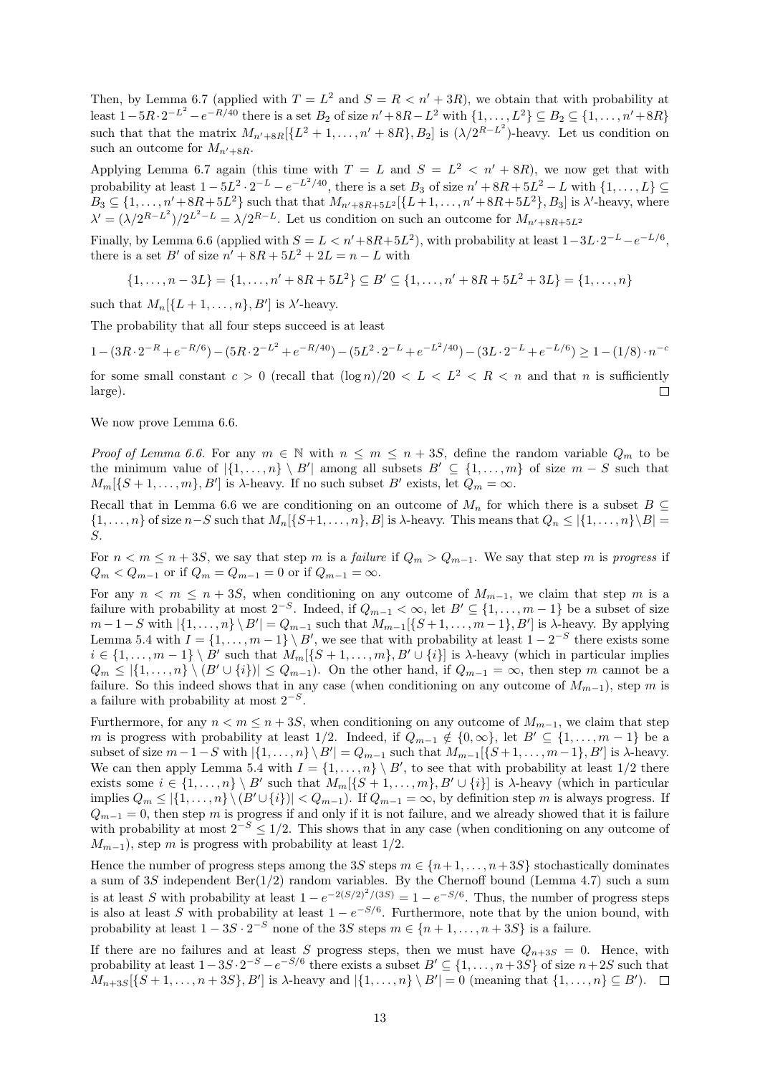Then, by [Lemma 6.7](#page-11-2) (applied with  $T = L^2$  and  $S = R < n' + 3R$ ), we obtain that with probability at least  $1 - 5R \cdot 2^{-L^2} - e^{-R/40}$  there is a set  $B_2$  of size  $n' + 8R - L^2$  with  $\{1, \ldots, L^2\} \subseteq B_2 \subseteq \{1, \ldots, n' + 8R\}$ such that that the matrix  $M_{n'+8R}[\{L^2+1,\ldots,n'+8R\},B_2]$  is  $(\lambda/2^{R-L^2})$ -heavy. Let us condition on such an outcome for  $M_{n'+8R}$ .

Applying [Lemma 6.7](#page-11-2) again (this time with  $T = L$  and  $S = L^2 < n' + 8R$ ), we now get that with probability at least  $1 - 5L^2 \cdot 2^{-L} - e^{-L^2/40}$ , there is a set  $B_3$  of size  $n' + 8R + 5L^2 - L$  with  $\{1, \ldots, L\} \subseteq$  $B_3 \subseteq \{1, \ldots, n' + 8R + 5L^2\}$  such that that  $M_{n'+8R+5L^2}[\{L+1, \ldots, n'+8R+5L^2\}, B_3]$  is  $\lambda'$ -heavy, where  $\lambda' = (\lambda/2^{R-L^2})/2^{L^2-L} = \lambda/2^{R-L}$ . Let us condition on such an outcome for  $M_{n'+8R+5L^2}$ 

Finally, by [Lemma 6.6](#page-11-1) (applied with  $S = L < n' + 8R + 5L^2$ ), with probability at least  $1 - 3L \cdot 2^{-L} - e^{-L/6}$ , there is a set  $B'$  of size  $n' + 8R + 5L^2 + 2L = n - L$  with

 $\{1, \ldots, n-3L\} = \{1, \ldots, n' + 8R + 5L^2\} \subseteq B' \subseteq \{1, \ldots, n' + 8R + 5L^2 + 3L\} = \{1, \ldots, n\}$ 

such that  $M_n[\{L+1,\ldots,n\},B']$  is  $\lambda'$ -heavy.

The probability that all four steps succeed is at least

$$
1 - (3R \cdot 2^{-R} + e^{-R/6}) - (5R \cdot 2^{-L^2} + e^{-R/40}) - (5L^2 \cdot 2^{-L} + e^{-L^2/40}) - (3L \cdot 2^{-L} + e^{-L/6}) \ge 1 - (1/8) \cdot n^{-c}
$$

for some small constant  $c > 0$  (recall that  $(\log n)/20 < L < L^2 < R < n$  and that n is sufficiently large).  $\Box$ 

We now prove [Lemma 6.6.](#page-11-1)

Proof of [Lemma 6.6.](#page-11-1) For any  $m \in \mathbb{N}$  with  $n \leq m \leq n + 3S$ , define the random variable  $Q_m$  to be the minimum value of  $|\{1,\ldots,n\}\setminus B'|\$  among all subsets  $B' \subseteq \{1,\ldots,m\}$  of size  $m-S$  such that  $M_m[\{S+1,\ldots,m\},B']$  is  $\lambda$ -heavy. If no such subset  $B'$  exists, let  $Q_m = \infty$ .

Recall that in [Lemma 6.6](#page-11-1) we are conditioning on an outcome of  $M_n$  for which there is a subset  $B \subseteq$  $\{1,\ldots,n\}$  of size  $n-S$  such that  $M_n[\{S+1,\ldots,n\},B]$  is  $\lambda$ -heavy. This means that  $Q_n \leq |\{1,\ldots,n\}\setminus B|$ S.

For  $n < m \le n + 3S$ , we say that step m is a failure if  $Q_m > Q_{m-1}$ . We say that step m is progress if  $Q_m < Q_{m-1}$  or if  $Q_m = Q_{m-1} = 0$  or if  $Q_{m-1} = \infty$ .

For any  $n < m \le n + 3S$ , when conditioning on any outcome of  $M_{m-1}$ , we claim that step m is a failure with probability at most  $2^{-S}$ . Indeed, if  $Q_{m-1} < \infty$ , let  $B' \subseteq \{1, \ldots, m-1\}$  be a subset of size  $m-1-S$  with  $|\{1,\ldots,n\}\setminus B'|=Q_{m-1}$  such that  $M_{m-1}[\{S+1,\ldots,m-1\},B']$  is  $\lambda$ -heavy. By applying [Lemma 5.4](#page-7-4) with  $I = \{1, \ldots, m-1\} \setminus B'$ , we see that with probability at least  $1 - 2^{-S}$  there exists some  $i \in \{1, \ldots, m-1\} \setminus B'$  such that  $M_m[\{S+1, \ldots, m\}, B' \cup \{i\}]$  is  $\lambda$ -heavy (which in particular implies  $Q_m \leq \{1, \ldots, n\} \setminus (B' \cup \{i\}) \leq Q_{m-1}$ . On the other hand, if  $Q_{m-1} = \infty$ , then step m cannot be a failure. So this indeed shows that in any case (when conditioning on any outcome of  $M_{m-1}$ ), step m is a failure with probability at most  $2^{-S}$ .

Furthermore, for any  $n < m \le n + 3S$ , when conditioning on any outcome of  $M_{m-1}$ , we claim that step m is progress with probability at least 1/2. Indeed, if  $Q_{m-1} \notin \{0,\infty\}$ , let  $B' \subseteq \{1,\ldots,m-1\}$  be a subset of size  $m-1-S$  with  $|\{1,\ldots,n\}\setminus B'|=Q_{m-1}$  such that  $M_{m-1}[\{S+1,\ldots,m-1\},B']$  is  $\lambda$ -heavy. We can then apply [Lemma 5.4](#page-7-4) with  $I = \{1, \ldots, n\} \setminus B'$ , to see that with probability at least  $1/2$  there exists some  $i \in \{1, \ldots, n\} \setminus B'$  such that  $M_m[\{S+1, \ldots, m\}, B' \cup \{i\}]$  is  $\lambda$ -heavy (which in particular implies  $Q_m \leq |\{1,\ldots,n\}\setminus (B' \cup \{i\})| < Q_{m-1}$ . If  $Q_{m-1} = \infty$ , by definition step m is always progress. If  $Q_{m-1} = 0$ , then step m is progress if and only if it is not failure, and we already showed that it is failure with probability at most  $2^{-S} \leq 1/2$ . This shows that in any case (when conditioning on any outcome of  $M_{m-1}$ ), step m is progress with probability at least 1/2.

Hence the number of progress steps among the 3S steps  $m \in \{n+1, \ldots, n+3S\}$  stochastically dominates a sum of 3S independent  $Ber(1/2)$  random variables. By the Chernoff bound [\(Lemma 4.7\)](#page-5-1) such a sum is at least S with probability at least  $1 - e^{-2(S/2)^2/(3S)} = 1 - e^{-S/6}$ . Thus, the number of progress steps is also at least S with probability at least  $1 - e^{-S/6}$ . Furthermore, note that by the union bound, with probability at least  $1 - 3S \cdot 2^{-S}$  none of the 3S steps  $m \in \{n+1, \ldots, n+3S\}$  is a failure.

If there are no failures and at least S progress steps, then we must have  $Q_{n+3S} = 0$ . Hence, with probability at least  $1-3S \cdot 2^{-S} - e^{-S/6}$  there exists a subset  $B' \subseteq \{1, \ldots, n+3S\}$  of size  $n+2S$  such that  $M_{n+3S}[\{S+1,\ldots,n+3S\},B']$  is  $\lambda$ -heavy and  $|\{1,\ldots,n\}\setminus B'|=0$  (meaning that  $\{1,\ldots,n\}\subseteq B'$ ).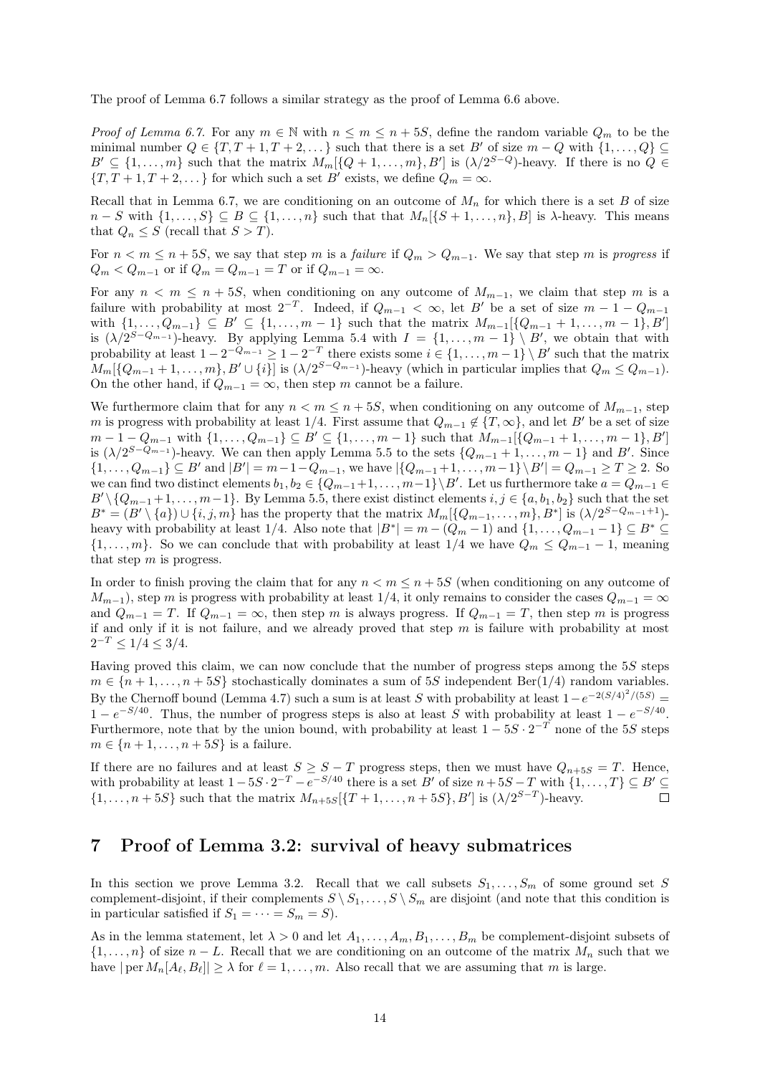The proof of [Lemma 6.7](#page-11-2) follows a similar strategy as the proof of [Lemma 6.6](#page-11-1) above.

*Proof of [Lemma 6.7.](#page-11-2)* For any  $m \in \mathbb{N}$  with  $n \leq m \leq n + 5S$ , define the random variable  $Q_m$  to be the minimal number  $Q \in \{T, T + 1, T + 2, \dots\}$  such that there is a set B' of size  $m - Q$  with  $\{1, \dots, Q\} \subseteq$  $B' \subseteq \{1, \ldots, m\}$  such that the matrix  $M_m[\{Q+1, \ldots, m\}, B']$  is  $(\lambda/2^{S-Q})$ -heavy. If there is no  $Q \in$  ${T, T+1, T+2,...}$  for which such a set B' exists, we define  $Q_m = \infty$ .

Recall that in [Lemma 6.7,](#page-11-2) we are conditioning on an outcome of  $M_n$  for which there is a set B of size  $n-S$  with  $\{1,\ldots,S\} \subseteq B \subseteq \{1,\ldots,n\}$  such that that  $M_n[\{S+1,\ldots,n\},B]$  is  $\lambda$ -heavy. This means that  $Q_n \leq S$  (recall that  $S > T$ ).

For  $n < m \le n + 5S$ , we say that step m is a failure if  $Q_m > Q_{m-1}$ . We say that step m is progress if  $Q_m < Q_{m-1}$  or if  $Q_m = Q_{m-1} = T$  or if  $Q_{m-1} = \infty$ .

For any  $n < m \le n + 5S$ , when conditioning on any outcome of  $M_{m-1}$ , we claim that step m is a failure with probability at most  $2^{-T}$ . Indeed, if  $Q_{m-1} < \infty$ , let B' be a set of size  $m-1-Q_{m-1}$ with  $\{1, \ldots, Q_{m-1}\} \subseteq B' \subseteq \{1, \ldots, m-1\}$  such that the matrix  $M_{m-1}[\{Q_{m-1}+1, \ldots, m-1\}, B']$ is  $(\lambda/2^{S-Q_{m-1}})$ -heavy. By applying [Lemma 5.4](#page-7-4) with  $I = \{1, ..., m-1\} \setminus B'$ , we obtain that with probability at least  $1 - 2^{-Q_{m-1}} \geq 1 - 2^{-T}$  there exists some  $i \in \{1, ..., m-1\} \setminus B'$  such that the matrix  $M_m[\{Q_{m-1}+1,\ldots,m\},B'\cup\{i\}]$  is  $(\lambda/2^{S-Q_{m-1}})$ -heavy (which in particular implies that  $Q_m \leq Q_{m-1}$ ). On the other hand, if  $Q_{m-1} = \infty$ , then step m cannot be a failure.

We furthermore claim that for any  $n < m \le n + 5S$ , when conditioning on any outcome of  $M_{m-1}$ , step m is progress with probability at least  $1/4$ . First assume that  $Q_{m-1} \notin \{T, \infty\}$ , and let B' be a set of size  $m-1-Q_{m-1}$  with  $\{1,\ldots,Q_{m-1}\}\subseteq B' \subseteq \{1,\ldots,m-1\}$  such that  $M_{m-1}[\{Q_{m-1}+1,\ldots,m-1\},B']$ is  $(\lambda/2^{S-Q_{m-1}})$ -heavy. We can then apply [Lemma 5.5](#page-7-2) to the sets  $\{Q_{m-1}+1,\ldots,m-1\}$  and B'. Since  $\{1,\ldots,Q_{m-1}\}\subseteq B'$  and  $|B'|=m-1-Q_{m-1}$ , we have  $|\{Q_{m-1}+1,\ldots,m-1\}\setminus B'|=Q_{m-1}\geq T\geq 2$ . So we can find two distinct elements  $b_1, b_2 \in \{Q_{m-1}+1, \ldots, m-1\} \backslash B'$ . Let us furthermore take  $a = Q_{m-1}$  $B' \setminus \{Q_{m-1}+1,\ldots,m-1\}$ . By [Lemma 5.5,](#page-7-2) there exist distinct elements  $i, j \in \{a, b_1, b_2\}$  such that the set  $B^* = (B' \setminus \{a\}) \cup \{i, j, m\}$  has the property that the matrix  $M_m[\{Q_{m-1}, \ldots, m\}, B^*]$  is  $(\lambda/2^{S-Q_{m-1}+1})$ heavy with probability at least 1/4. Also note that  $|B^*| = m - (Q_m - 1)$  and  $\{1, ..., Q_{m-1} - 1\} \subseteq B^* \subseteq$  $\{1,\ldots,m\}$ . So we can conclude that with probability at least  $1/4$  we have  $Q_m \leq Q_{m-1} - 1$ , meaning that step  $m$  is progress.

In order to finish proving the claim that for any  $n < m \leq n + 5S$  (when conditioning on any outcome of  $M_{m-1}$ , step m is progress with probability at least 1/4, it only remains to consider the cases  $Q_{m-1} = \infty$ and  $Q_{m-1} = T$ . If  $Q_{m-1} = \infty$ , then step m is always progress. If  $Q_{m-1} = T$ , then step m is progress if and only if it is not failure, and we already proved that step  $m$  is failure with probability at most  $2^{-T} \leq 1/4 \leq 3/4$ .

Having proved this claim, we can now conclude that the number of progress steps among the 5S steps  $m \in \{n+1,\ldots,n+5S\}$  stochastically dominates a sum of 5S independent Ber(1/4) random variables. By the Chernoff bound [\(Lemma 4.7\)](#page-5-1) such a sum is at least S with probability at least  $1-e^{-2(S/4)^2/(5S)}$  $1 - e^{-S/40}$ . Thus, the number of progress steps is also at least S with probability at least  $1 - e^{-S/40}$ . Furthermore, note that by the union bound, with probability at least  $1 - 5S \cdot 2^{-T}$  none of the 5S steps  $m \in \{n+1,\ldots,n+5S\}$  is a failure.

If there are no failures and at least  $S \geq S - T$  progress steps, then we must have  $Q_{n+5S} = T$ . Hence, with probability at least  $1 - 5S \cdot 2^{-T} - e^{-S/40}$  there is a set B' of size  $n + 5S - T$  with  $\{1, \ldots, T\} \subseteq B' \subseteq$  $\{1, \ldots, n+5S\}$  such that the matrix  $M_{n+5S}[\{T+1, \ldots, n+5S\}, B']$  is  $(\lambda/2^{S-T})$ -heavy.  $\Box$ 

### <span id="page-13-0"></span>7 Proof of [Lemma 3.2:](#page-3-1) survival of heavy submatrices

In this section we prove [Lemma 3.2.](#page-3-1) Recall that we call subsets  $S_1, \ldots, S_m$  of some ground set S complement-disjoint, if their complements  $S \setminus S_1, \ldots, S \setminus S_m$  are disjoint (and note that this condition is in particular satisfied if  $S_1 = \cdots = S_m = S$ .

As in the lemma statement, let  $\lambda > 0$  and let  $A_1, \ldots, A_m, B_1, \ldots, B_m$  be complement-disjoint subsets of  $\{1,\ldots,n\}$  of size  $n-L$ . Recall that we are conditioning on an outcome of the matrix  $M_n$  such that we have  $|\text{per } M_n[A_\ell, B_\ell]| \geq \lambda \text{ for } \ell = 1, \ldots, m.$  Also recall that we are assuming that m is large.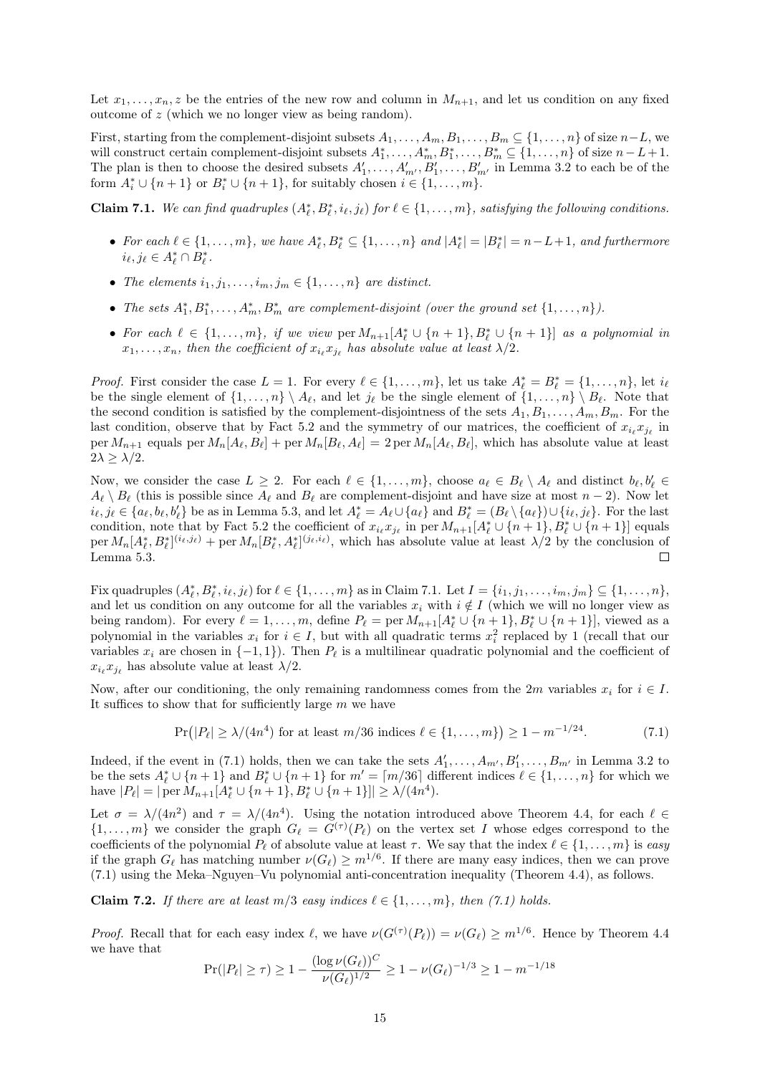Let  $x_1, \ldots, x_n, z$  be the entries of the new row and column in  $M_{n+1}$ , and let us condition on any fixed outcome of z (which we no longer view as being random).

First, starting from the complement-disjoint subsets  $A_1, \ldots, A_m, B_1, \ldots, B_m \subseteq \{1, \ldots, n\}$  of size  $n-L$ , we will construct certain complement-disjoint subsets  $A_1^*, \ldots, A_m^*, B_1^*, \ldots, B_m^* \subseteq \{1, \ldots, n\}$  of size  $n - L + 1$ . The plan is then to choose the desired subsets  $A'_1, \ldots, A'_{m'}, B'_1, \ldots, B'_{m'}$  in [Lemma 3.2](#page-3-1) to each be of the form  $A_i^* \cup \{n+1\}$  or  $B_i^* \cup \{n+1\}$ , for suitably chosen  $i \in \{1, ..., m\}$ .

<span id="page-14-0"></span>**Claim 7.1.** We can find quadruples  $(A_{\ell}^*, B_{\ell}^*, i_{\ell}, j_{\ell})$  for  $\ell \in \{1, ..., m\}$ , satisfying the following conditions.

- For each  $\ell \in \{1, \ldots, m\}$ , we have  $A_{\ell}^*, B_{\ell}^* \subseteq \{1, \ldots, n\}$  and  $|A_{\ell}^*| = |B_{\ell}^*| = n L + 1$ , and furthermore  $i_{\ell}, j_{\ell} \in A_{\ell}^* \cap B_{\ell}^*.$
- The elements  $i_1, j_1, \ldots, i_m, j_m \in \{1, \ldots, n\}$  are distinct.
- The sets  $A_1^*, B_1^*, \ldots, A_m^*, B_m^*$  are complement-disjoint (over the ground set  $\{1, \ldots, n\}$ ).
- For each  $\ell \in \{1, \ldots, m\}$ , if we view  $\text{per } M_{n+1}[A_{\ell}^* \cup \{n+1\}, B_{\ell}^* \cup \{n+1\}]$  as a polynomial in  $x_1, \ldots, x_n$ , then the coefficient of  $x_{i_\ell} x_{j_\ell}$  has absolute value at least  $\lambda/2$ .

*Proof.* First consider the case  $L = 1$ . For every  $\ell \in \{1, ..., m\}$ , let us take  $A_{\ell}^* = B_{\ell}^* = \{1, ..., n\}$ , let  $i_{\ell}$ be the single element of  $\{1, \ldots, n\} \setminus A_\ell$ , and let  $j_\ell$  be the single element of  $\{1, \ldots, n\} \setminus B_\ell$ . Note that the second condition is satisfied by the complement-disjointness of the sets  $A_1, B_1, \ldots, A_m, B_m$ . For the last condition, observe that by [Fact 5.2](#page-6-2) and the symmetry of our matrices, the coefficient of  $x_{i_\ell} x_{j_\ell}$  in per  $M_{n+1}$  equals per  $M_n[A_\ell, B_\ell] +$  per  $M_n[B_\ell, A_\ell] = 2$  per  $M_n[A_\ell, B_\ell]$ , which has absolute value at least  $2\lambda \geq \lambda/2$ .

Now, we consider the case  $L \geq 2$ . For each  $\ell \in \{1, \ldots, m\}$ , choose  $a_{\ell} \in B_{\ell} \setminus A_{\ell}$  and distinct  $b_{\ell}, b'_{\ell} \in$  $A_\ell \setminus B_\ell$  (this is possible since  $A_\ell$  and  $B_\ell$  are complement-disjoint and have size at most  $n - 2$ ). Now let  $i_{\ell}, j_{\ell} \in \{a_{\ell}, b_{\ell}, b'_{\ell}\}\$ be as in [Lemma 5.3,](#page-6-3) and let  $A_{\ell}^* = A_{\ell} \cup \{a_{\ell}\}\$ and  $B_{\ell}^* = (B_{\ell} \setminus \{a_{\ell}\}) \cup \{i_{\ell}, j_{\ell}\}\$ . For the last condition, note that by [Fact 5.2](#page-6-2) the coefficient of  $x_{i_\ell} x_{j_\ell}$  in per  $M_{n+1}[A^*_{\ell} \cup \{n+1\}, B^*_{\ell} \cup \{n+1\}]$  equals per  $M_n[A_\ell^*, B_\ell^*]^{(i_\ell, j_\ell)}$  + per  $M_n[B_\ell^*, A_\ell^*]^{(j_\ell, i_\ell)}$ , which has absolute value at least  $\lambda/2$  by the conclusion of [Lemma 5.3.](#page-6-3)  $\Box$ 

Fix quadruples  $(A_{\ell}^{*}, B_{\ell}^{*}, i_{\ell}, j_{\ell})$  for  $\ell \in \{1, ..., m\}$  as in [Claim 7.1.](#page-14-0) Let  $I = \{i_1, j_1, ..., i_m, j_m\} \subseteq \{1, ..., n\}$ , and let us condition on any outcome for all the variables  $x_i$  with  $i \notin I$  (which we will no longer view as being random). For every  $\ell = 1, \ldots, m$ , define  $P_{\ell} = \text{per } M_{n+1}[A_{\ell}^{*} \cup \{n+1\}, B_{\ell}^{*} \cup \{n+1\}],$  viewed as a polynomial in the variables  $x_i$  for  $i \in I$ , but with all quadratic terms  $x_i^2$  replaced by 1 (recall that our variables  $x_i$  are chosen in  $\{-1, 1\}$ ). Then  $P_\ell$  is a multilinear quadratic polynomial and the coefficient of  $x_{i_\ell} x_{j_\ell}$  has absolute value at least  $\lambda/2$ .

Now, after our conditioning, the only remaining randomness comes from the 2m variables  $x_i$  for  $i \in I$ . It suffices to show that for sufficiently large  $m$  we have

<span id="page-14-1"></span>
$$
\Pr(|P_{\ell}| \ge \lambda/(4n^4) \text{ for at least } m/36 \text{ indices } \ell \in \{1, ..., m\}\right) \ge 1 - m^{-1/24}.\tag{7.1}
$$

Indeed, if the event in [\(7.1\)](#page-14-1) holds, then we can take the sets  $A'_1, \ldots, A_{m'}$ ,  $B'_1, \ldots, B_{m'}$  in [Lemma 3.2](#page-3-1) to be the sets  $A_{\ell}^* \cup \{n+1\}$  and  $B_{\ell}^* \cup \{n+1\}$  for  $m' = \lceil m/36 \rceil$  different indices  $\ell \in \{1, ..., n\}$  for which we have  $|P_\ell| = |\operatorname{per} M_{n+1}[A_\ell^* \cup \{n+1\}, B_\ell^* \cup \{n+1\}]| \ge \lambda/(4n^4).$ 

Let  $\sigma = \lambda/(4n^2)$  and  $\tau = \lambda/(4n^4)$ . Using the notation introduced above [Theorem 4.4,](#page-5-2) for each  $\ell \in$  $\{1,\ldots,m\}$  we consider the graph  $G_{\ell} = G^{(\tau)}(P_{\ell})$  on the vertex set I whose edges correspond to the coefficients of the polynomial  $P_\ell$  of absolute value at least  $\tau$ . We say that the index  $\ell \in \{1, \ldots, m\}$  is easy if the graph  $G_{\ell}$  has matching number  $\nu(G_{\ell}) \geq m^{1/6}$ . If there are many easy indices, then we can prove [\(7.1\)](#page-14-1) using the Meka–Nguyen–Vu polynomial anti-concentration inequality [\(Theorem 4.4\)](#page-5-2), as follows.

Claim 7.2. If there are at least  $m/3$  easy indices  $\ell \in \{1, \ldots, m\}$ , then [\(7.1\)](#page-14-1) holds.

*Proof.* Recall that for each easy index  $\ell$ , we have  $\nu(G^{(\tau)}(P_{\ell})) = \nu(G_{\ell}) \geq m^{1/6}$ . Hence by [Theorem 4.4](#page-5-2) we have that

$$
\Pr(|P_{\ell}| \ge \tau) \ge 1 - \frac{(\log \nu(G_{\ell}))^C}{\nu(G_{\ell})^{1/2}} \ge 1 - \nu(G_{\ell})^{-1/3} \ge 1 - m^{-1/18}
$$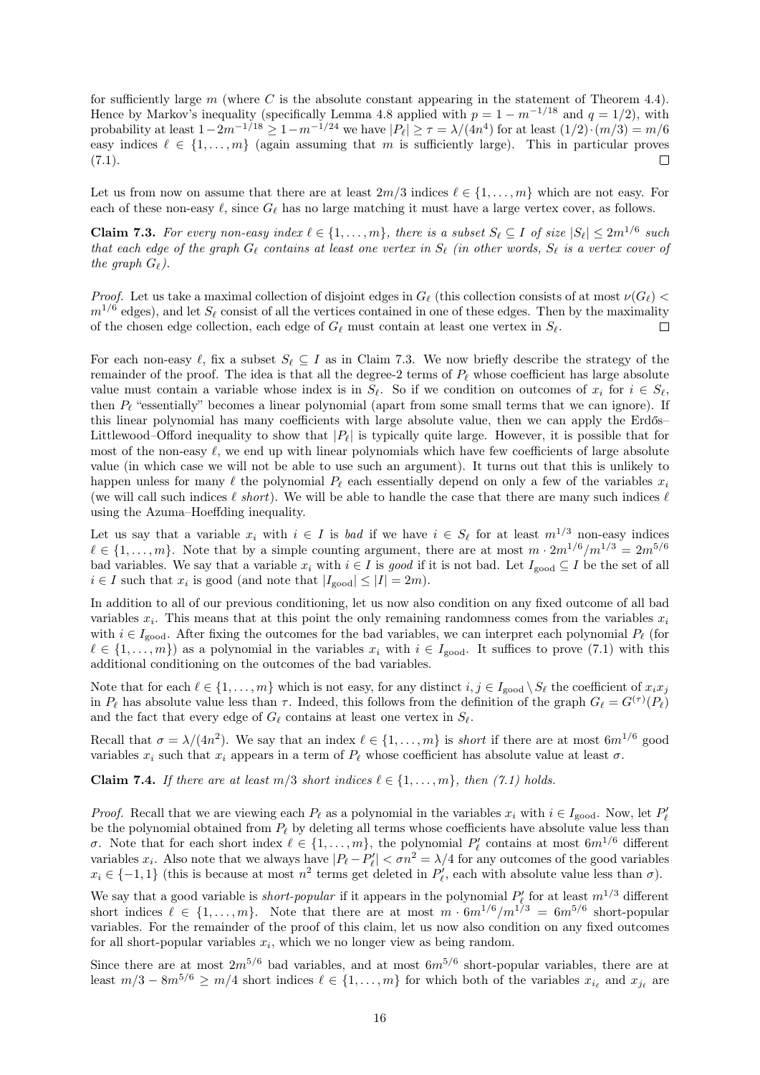for sufficiently large  $m$  (where  $C$  is the absolute constant appearing in the statement of [Theorem 4.4\)](#page-5-2). Hence by Markov's inequality (specifically [Lemma 4.8](#page-6-0) applied with  $p = 1 - m^{-1/18}$  and  $q = 1/2$ ), with probability at least  $1-2m^{-1/18} \geq 1-m^{-1/24}$  we have  $|P_\ell| \geq \tau = \lambda/(4n^4)$  for at least  $(1/2) \cdot (m/3) = m/6$ easy indices  $\ell \in \{1, ..., m\}$  (again assuming that m is sufficiently large). This in particular proves  $(7.1).$ П

Let us from now on assume that there are at least  $2m/3$  indices  $\ell \in \{1, \ldots, m\}$  which are not easy. For each of these non-easy  $\ell$ , since  $G_{\ell}$  has no large matching it must have a large vertex cover, as follows.

<span id="page-15-0"></span>**Claim 7.3.** For every non-easy index  $\ell \in \{1, ..., m\}$ , there is a subset  $S_{\ell} \subseteq I$  of size  $|S_{\ell}| \leq 2m^{1/6}$  such that each edge of the graph  $G_\ell$  contains at least one vertex in  $S_\ell$  (in other words,  $S_\ell$  is a vertex cover of the graph  $G_{\ell}$ ).

Proof. Let us take a maximal collection of disjoint edges in  $G_\ell$  (this collection consists of at most  $\nu(G_\ell)$  <  $m^{1/6}$  edges), and let  $S_{\ell}$  consist of all the vertices contained in one of these edges. Then by the maximality of the chosen edge collection, each edge of  $G_\ell$  must contain at least one vertex in  $S_\ell$ .  $\Box$ 

For each non-easy  $\ell$ , fix a subset  $S_\ell \subseteq I$  as in [Claim 7.3.](#page-15-0) We now briefly describe the strategy of the remainder of the proof. The idea is that all the degree-2 terms of  $P_\ell$  whose coefficient has large absolute value must contain a variable whose index is in  $S_\ell$ . So if we condition on outcomes of  $x_i$  for  $i \in S_\ell$ , then  $P_\ell$  "essentially" becomes a linear polynomial (apart from some small terms that we can ignore). If this linear polynomial has many coefficients with large absolute value, then we can apply the Erdős– Littlewood–Offord inequality to show that  $|P_{\ell}|$  is typically quite large. However, it is possible that for most of the non-easy  $\ell$ , we end up with linear polynomials which have few coefficients of large absolute value (in which case we will not be able to use such an argument). It turns out that this is unlikely to happen unless for many  $\ell$  the polynomial  $P_\ell$  each essentially depend on only a few of the variables  $x_i$ (we will call such indices  $\ell$  short). We will be able to handle the case that there are many such indices  $\ell$ using the Azuma–Hoeffding inequality.

Let us say that a variable  $x_i$  with  $i \in I$  is bad if we have  $i \in S_\ell$  for at least  $m^{1/3}$  non-easy indices  $\ell \in \{1, \ldots, m\}$ . Note that by a simple counting argument, there are at most  $m \cdot 2m^{1/6}/m^{1/3} = 2m^{5/6}$ bad variables. We say that a variable  $x_i$  with  $i \in I$  is good if it is not bad. Let  $I_{\text{good}} \subseteq I$  be the set of all  $i \in I$  such that  $x_i$  is good (and note that  $|I_{\text{good}}| \leq |I| = 2m$ ).

In addition to all of our previous conditioning, let us now also condition on any fixed outcome of all bad variables  $x_i$ . This means that at this point the only remaining randomness comes from the variables  $x_i$ with  $i \in I_{\text{good}}$ . After fixing the outcomes for the bad variables, we can interpret each polynomial  $P_\ell$  (for  $\ell \in \{1, \ldots, m\}$  as a polynomial in the variables  $x_i$  with  $i \in I_{\text{good}}$ . It suffices to prove [\(7.1\)](#page-14-1) with this additional conditioning on the outcomes of the bad variables.

Note that for each  $\ell \in \{1, \ldots, m\}$  which is not easy, for any distinct  $i, j \in I_{\text{good}} \setminus S_\ell$  the coefficient of  $x_i x_j$ in  $P_\ell$  has absolute value less than  $\tau$ . Indeed, this follows from the definition of the graph  $G_\ell = G^{(\tau)}(P_\ell)$ and the fact that every edge of  $G_\ell$  contains at least one vertex in  $S_\ell$ .

Recall that  $\sigma = \lambda/(4n^2)$ . We say that an index  $\ell \in \{1, \ldots, m\}$  is short if there are at most  $6m^{1/6}$  good variables  $x_i$  such that  $x_i$  appears in a term of  $P_\ell$  whose coefficient has absolute value at least  $\sigma$ .

**Claim 7.4.** If there are at least  $m/3$  short indices  $\ell \in \{1, \ldots, m\}$ , then [\(7.1\)](#page-14-1) holds.

*Proof.* Recall that we are viewing each  $P_\ell$  as a polynomial in the variables  $x_i$  with  $i \in I_{\text{good}}$ . Now, let  $P'_\ell$ be the polynomial obtained from  $P_\ell$  by deleting all terms whose coefficients have absolute value less than σ. Note that for each short index  $\ell \in \{1, ..., m\}$ , the polynomial  $P'_{\ell}$  contains at most  $6m^{1/6}$  different o. Note that for each short modes  $\ell \in \{1, \ldots, m_f\}$ , the polynomial  $\ell \ell$  contains at most on  $\ell$  underesting variables  $x_i$ . Also note that we always have  $|P_{\ell} - P'_{\ell}| < \sigma n^2 = \lambda/4$  for any outcomes of the good vari  $x_i \in \{-1,1\}$  (this is because at most  $n^2$  terms get deleted in  $P'_\ell$ , each with absolute value less than  $\sigma$ ).

We say that a good variable is *short-popular* if it appears in the polynomial  $P'_\ell$  for at least  $m^{1/3}$  different short indices  $\ell \in \{1, \ldots, m\}$ . Note that there are at most  $m \cdot 6m^{1/6}/m^{1/3} = 6m^{5/6}$  short-popular variables. For the remainder of the proof of this claim, let us now also condition on any fixed outcomes for all short-popular variables  $x_i$ , which we no longer view as being random.

Since there are at most  $2m^{5/6}$  bad variables, and at most  $6m^{5/6}$  short-popular variables, there are at least  $m/3 - 8m^{5/6} \ge m/4$  short indices  $\ell \in \{1, \ldots, m\}$  for which both of the variables  $x_{i_\ell}$  and  $x_{j_\ell}$  are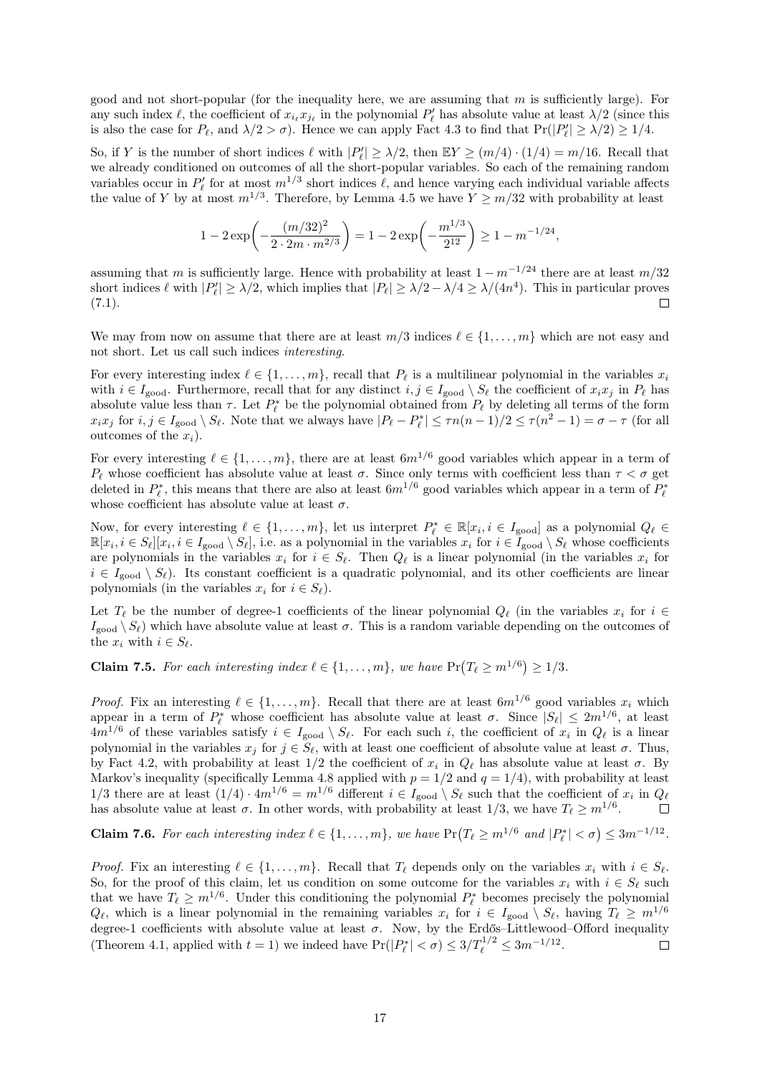good and not short-popular (for the inequality here, we are assuming that  $m$  is sufficiently large). For any such index  $\ell$ , the coefficient of  $x_{i_\ell} x_{j_\ell}$  in the polynomial  $P'_\ell$  has absolute value at least  $\lambda/2$  (since this is also the case for  $P_\ell$ , and  $\lambda/2 > \sigma$ ). Hence we can apply [Fact 4.3](#page-4-3) to find that  $Pr(|P'_\ell| \ge \lambda/2) \ge 1/4$ .

So, if Y is the number of short indices  $\ell$  with  $|P'_\ell| \geq \lambda/2$ , then  $\mathbb{E}Y \geq (m/4) \cdot (1/4) = m/16$ . Recall that we already conditioned on outcomes of all the short-popular variables. So each of the remaining random variables occur in  $P'_\ell$  for at most  $m^{1/3}$  short indices  $\ell$ , and hence varying each individual variable affects the value of Y by at most  $m^{1/3}$ . Therefore, by [Lemma 4.5](#page-5-4) we have  $Y \ge m/32$  with probability at least

$$
1-2\exp\biggl(-\frac{(m/32)^2}{2\cdot 2m\cdot m^{2/3}}\biggr)=1-2\exp\biggl(-\frac{m^{1/3}}{2^{12}}\biggr)\geq 1-m^{-1/24},
$$

assuming that m is sufficiently large. Hence with probability at least  $1 - m^{-1/24}$  there are at least m/32 short indices  $\ell$  with  $|P'_\ell| \ge \lambda/2$ , which implies that  $|P_\ell| \ge \lambda/2 - \lambda/4 \ge \lambda/(4n^4)$ . This in particular proves  $(7.1).$ П

We may from now on assume that there are at least  $m/3$  indices  $\ell \in \{1, \ldots, m\}$  which are not easy and not short. Let us call such indices interesting.

For every interesting index  $\ell \in \{1, \ldots, m\}$ , recall that  $P_\ell$  is a multilinear polynomial in the variables  $x_i$ with  $i \in I_{\text{good}}$ . Furthermore, recall that for any distinct  $i, j \in I_{\text{good}} \setminus S_\ell$  the coefficient of  $x_i x_j$  in  $P_\ell$  has absolute value less than  $\tau$ . Let  $P^*_{\ell}$  be the polynomial obtained from  $P_{\ell}$  by deleting all terms of the form  $x_ix_j$  for  $i, j \in I_{\text{good}} \setminus S_\ell$ . Note that we always have  $|P_\ell - P_\ell^*| \le \tau n(n-1)/2 \le \tau(n^2-1) = \sigma - \tau$  (for all outcomes of the  $x_i$ ).

For every interesting  $\ell \in \{1, \ldots, m\}$ , there are at least  $6m^{1/6}$  good variables which appear in a term of  $P_\ell$  whose coefficient has absolute value at least  $\sigma$ . Since only terms with coefficient less than  $\tau < \sigma$  get deleted in  $P_{\ell}^*$ , this means that there are also at least  $6m^{1/6}$  good variables which appear in a term of  $P_{\ell}^*$ whose coefficient has absolute value at least  $\sigma$ .

Now, for every interesting  $\ell \in \{1, \ldots, m\}$ , let us interpret  $P_{\ell}^* \in \mathbb{R}[x_i, i \in I_{\text{good}}]$  as a polynomial  $Q_{\ell} \in$  $\mathbb{R}[x_i, i \in S_\ell][x_i, i \in I_{\text{good}} \setminus S_\ell],$  i.e. as a polynomial in the variables  $x_i$  for  $i \in I_{\text{good}} \setminus S_\ell$  whose coefficients are polynomials in the variables  $x_i$  for  $i \in S_\ell$ . Then  $Q_\ell$  is a linear polynomial (in the variables  $x_i$  for  $i \in I_{\text{good}} \setminus S_{\ell}$ . Its constant coefficient is a quadratic polynomial, and its other coefficients are linear polynomials (in the variables  $x_i$  for  $i \in S_\ell$ ).

Let  $T_\ell$  be the number of degree-1 coefficients of the linear polynomial  $Q_\ell$  (in the variables  $x_i$  for  $i \in$  $I_{\text{good}} \setminus S_{\ell}$  which have absolute value at least  $\sigma$ . This is a random variable depending on the outcomes of the  $x_i$  with  $i \in S_\ell$ .

<span id="page-16-0"></span>**Claim 7.5.** For each interesting index  $\ell \in \{1, ..., m\}$ , we have  $Pr(T_{\ell} \ge m^{1/6}) \ge 1/3$ .

*Proof.* Fix an interesting  $\ell \in \{1, ..., m\}$ . Recall that there are at least  $6m^{1/6}$  good variables  $x_i$  which appear in a term of  $P_{\ell}^*$  whose coefficient has absolute value at least  $\sigma$ . Since  $|S_{\ell}| \leq 2m^{1/6}$ , at least  $4m^{1/6}$  of these variables satisfy  $i \in I_{\text{good}} \setminus S_{\ell}$ . For each such i, the coefficient of  $x_i$  in  $Q_{\ell}$  is a linear polynomial in the variables  $x_j$  for  $j \in S_\ell$ , with at least one coefficient of absolute value at least  $\sigma$ . Thus, by [Fact 4.2,](#page-4-1) with probability at least  $1/2$  the coefficient of  $x_i$  in  $Q_\ell$  has absolute value at least  $\sigma$ . By Markov's inequality (specifically [Lemma 4.8](#page-6-0) applied with  $p = 1/2$  and  $q = 1/4$ ), with probability at least 1/3 there are at least  $(1/4) \cdot 4m^{1/6} = m^{1/6}$  different  $i \in I_{\text{good}} \setminus S_{\ell}$  such that the coefficient of  $x_i$  in  $Q_{\ell}$ has absolute value at least  $\sigma$ . In other words, with probability at least  $1/3$ , we have  $T_\ell \geq m^{1/6}$ .  $\Box$ 

<span id="page-16-1"></span>**Claim 7.6.** For each interesting index  $\ell \in \{1, ..., m\}$ , we have  $Pr(T_{\ell} \ge m^{1/6} \text{ and } |P_{\ell}^{*}| < \sigma) \le 3m^{-1/12}$ .

*Proof.* Fix an interesting  $\ell \in \{1, \ldots, m\}$ . Recall that  $T_\ell$  depends only on the variables  $x_i$  with  $i \in S_\ell$ . So, for the proof of this claim, let us condition on some outcome for the variables  $x_i$  with  $i \in S_\ell$  such that we have  $T_\ell \geq m^{1/6}$ . Under this conditioning the polynomial  $P_\ell^*$  becomes precisely the polynomial  $Q_\ell$ , which is a linear polynomial in the remaining variables  $x_i$  for  $i \in I_{\text{good}} \setminus S_\ell$ , having  $T_\ell \geq m^{1/6}$ degree-1 coefficients with absolute value at least  $\sigma$ . Now, by the Erdős–Littlewood–Offord inequality [\(Theorem 4.1,](#page-4-2) applied with  $t = 1$ ) we indeed have  $Pr(|P_\ell^*| < \sigma) \leq 3/T_\ell^{1/2} \leq 3m^{-1/12}$ .  $\Box$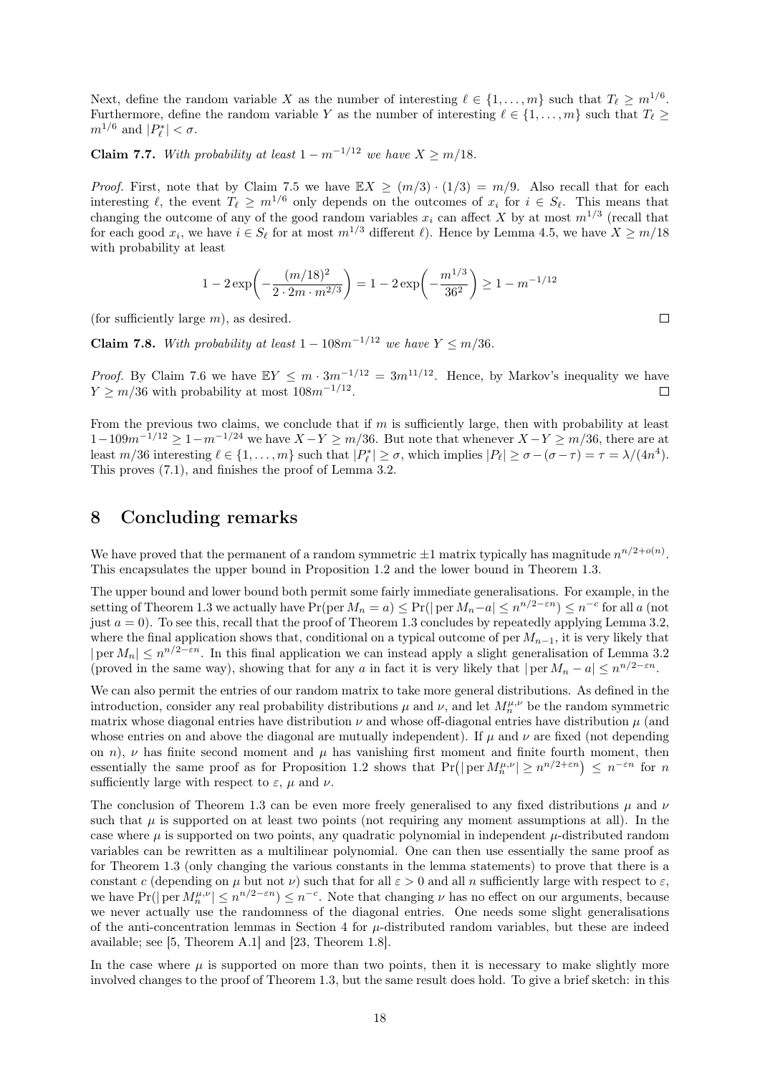Next, define the random variable X as the number of interesting  $\ell \in \{1, \ldots, m\}$  such that  $T_{\ell} \geq m^{1/6}$ . Furthermore, define the random variable Y as the number of interesting  $\ell \in \{1, ..., m\}$  such that  $T_{\ell} \geq$  $m^{1/6}$  and  $|P_{\ell}^*| < \sigma$ .

Claim 7.7. With probability at least  $1 - m^{-1/12}$  we have  $X \ge m/18$ .

*Proof.* First, note that by [Claim 7.5](#page-16-0) we have  $\mathbb{E}X \ge (m/3) \cdot (1/3) = m/9$ . Also recall that for each interesting  $\ell$ , the event  $T_\ell \geq m^{1/6}$  only depends on the outcomes of  $x_i$  for  $i \in S_\ell$ . This means that changing the outcome of any of the good random variables  $x_i$  can affect X by at most  $m^{1/3}$  (recall that for each good  $x_i$ , we have  $i \in S_\ell$  for at most  $m^{1/3}$  different  $\ell$ ). Hence by [Lemma 4.5,](#page-5-4) we have  $X \ge m/18$ with probability at least

$$
1 - 2\exp\left(-\frac{(m/18)^2}{2 \cdot 2m \cdot m^{2/3}}\right) = 1 - 2\exp\left(-\frac{m^{1/3}}{36^2}\right) \ge 1 - m^{-1/12}
$$

(for sufficiently large  $m$ ), as desired.

Claim 7.8. With probability at least  $1 - 108m^{-1/12}$  we have  $Y \le m/36$ .

*Proof.* By [Claim 7.6](#page-16-1) we have  $\mathbb{E}Y \leq m \cdot 3m^{-1/12} = 3m^{11/12}$ . Hence, by Markov's inequality we have  $Y \geq m/36$  with probability at most  $108m^{-1/12}$ .  $\Box$ 

From the previous two claims, we conclude that if  $m$  is sufficiently large, then with probability at least  $1-109m^{-1/12} \geq 1-m^{-1/24}$  we have  $X-Y \geq m/36$ . But note that whenever  $X-Y \geq m/36$ , there are at least  $m/36$  interesting  $\ell \in \{1, \ldots, m\}$  such that  $|P^*_{\ell}| \geq \sigma$ , which implies  $|P_{\ell}| \geq \sigma - (\sigma - \tau) = \tau = \lambda/(4n^4)$ . This proves [\(7.1\),](#page-14-1) and finishes the proof of [Lemma 3.2.](#page-3-1)

## <span id="page-17-0"></span>8 Concluding remarks

We have proved that the permanent of a random symmetric  $\pm 1$  matrix typically has magnitude  $n^{n/2+o(n)}$ . This encapsulates the upper bound in [Proposition 1.2](#page-1-1) and the lower bound in [Theorem 1.3.](#page-1-2)

The upper bound and lower bound both permit some fairly immediate generalisations. For example, in the setting of [Theorem 1.3](#page-1-2) we actually have  $Pr(\text{per } M_n = a) \leq Pr(|\text{ per } M_n - a| \leq n^{n/2-\varepsilon n}) \leq n^{-c}$  for all a (not just  $a = 0$ ). To see this, recall that the proof of [Theorem 1.3](#page-1-2) concludes by repeatedly applying [Lemma 3.2,](#page-3-1) where the final application shows that, conditional on a typical outcome of per  $M_{n-1}$ , it is very likely that  $|\text{per }M_n| \leq n^{n/2-\varepsilon n}$ . In this final application we can instead apply a slight generalisation of [Lemma 3.2](#page-3-1) (proved in the same way), showing that for any a in fact it is very likely that  $|per M_n - a| \leq n^{n/2 - \varepsilon n}$ .

We can also permit the entries of our random matrix to take more general distributions. As defined in the introduction, consider any real probability distributions  $\mu$  and  $\nu$ , and let  $M_n^{\mu,\nu}$  be the random symmetric matrix whose diagonal entries have distribution  $\nu$  and whose off-diagonal entries have distribution  $\mu$  (and whose entries on and above the diagonal are mutually independent). If  $\mu$  and  $\nu$  are fixed (not depending on n),  $\nu$  has finite second moment and  $\mu$  has vanishing first moment and finite fourth moment, then essentially the same proof as for [Proposition 1.2](#page-1-1) shows that  $Pr(|\text{per }M_n^{\mu,\nu}| \geq n^{n/2+\varepsilon n}) \leq n^{-\varepsilon n}$  for n sufficiently large with respect to  $\varepsilon$ ,  $\mu$  and  $\nu$ .

The conclusion of [Theorem 1.3](#page-1-2) can be even more freely generalised to any fixed distributions  $\mu$  and  $\nu$ such that  $\mu$  is supported on at least two points (not requiring any moment assumptions at all). In the case where  $\mu$  is supported on two points, any quadratic polynomial in independent  $\mu$ -distributed random variables can be rewritten as a multilinear polynomial. One can then use essentially the same proof as for [Theorem 1.3](#page-1-2) (only changing the various constants in the lemma statements) to prove that there is a constant c (depending on  $\mu$  but not  $\nu$ ) such that for all  $\varepsilon > 0$  and all n sufficiently large with respect to  $\varepsilon$ , we have  $Pr(|\text{per } M_n^{\mu,\nu}| \leq n^{n/2-\varepsilon n}) \leq n^{-c}$ . Note that changing  $\nu$  has no effect on our arguments, because we never actually use the randomness of the diagonal entries. One needs some slight generalisations of the anti-concentration lemmas in [Section 4](#page-4-4) for  $\mu$ -distributed random variables, but these are indeed available; see [\[5,](#page-19-3) Theorem A.1] and [\[23,](#page-19-21) Theorem 1.8].

In the case where  $\mu$  is supported on more than two points, then it is necessary to make slightly more involved changes to the proof of [Theorem 1.3,](#page-1-2) but the same result does hold. To give a brief sketch: in this

 $\Box$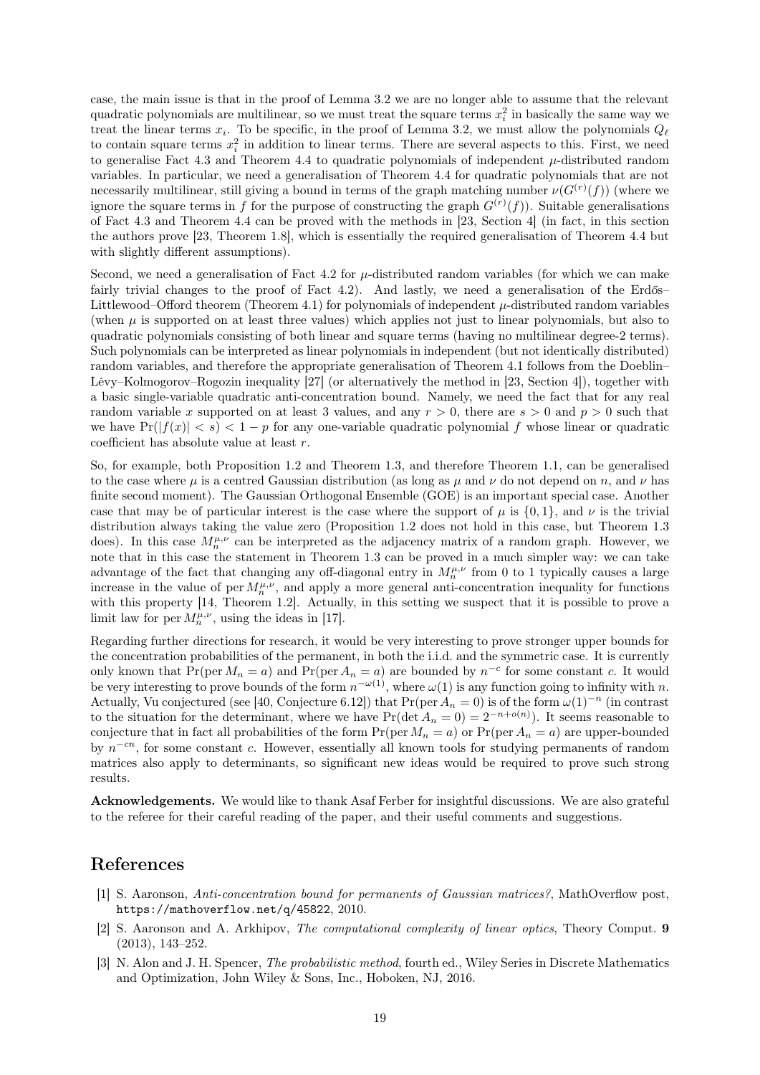case, the main issue is that in the proof of [Lemma 3.2](#page-3-1) we are no longer able to assume that the relevant quadratic polynomials are multilinear, so we must treat the square terms  $x_i^2$  in basically the same way we treat the linear terms  $x_i$ . To be specific, in the proof of [Lemma 3.2,](#page-3-1) we must allow the polynomials  $Q_\ell$ to contain square terms  $x_i^2$  in addition to linear terms. There are several aspects to this. First, we need to generalise [Fact 4.3](#page-4-3) and [Theorem 4.4](#page-5-2) to quadratic polynomials of independent  $\mu$ -distributed random variables. In particular, we need a generalisation of [Theorem 4.4](#page-5-2) for quadratic polynomials that are not necessarily multilinear, still giving a bound in terms of the graph matching number  $\nu(G^{(r)}(f))$  (where we ignore the square terms in f for the purpose of constructing the graph  $G^{(r)}(f)$ ). Suitable generalisations of [Fact 4.3](#page-4-3) and [Theorem 4.4](#page-5-2) can be proved with the methods in [\[23,](#page-19-21) Section 4] (in fact, in this section the authors prove [\[23,](#page-19-21) Theorem 1.8], which is essentially the required generalisation of [Theorem 4.4](#page-5-2) but with slightly different assumptions).

Second, we need a generalisation of [Fact 4.2](#page-4-1) for  $\mu$ -distributed random variables (for which we can make fairly trivial changes to the proof of [Fact 4.2\)](#page-4-1). And lastly, we need a generalisation of the Erdős– Littlewood–Offord theorem [\(Theorem 4.1\)](#page-4-2) for polynomials of independent  $\mu$ -distributed random variables (when  $\mu$  is supported on at least three values) which applies not just to linear polynomials, but also to quadratic polynomials consisting of both linear and square terms (having no multilinear degree-2 terms). Such polynomials can be interpreted as linear polynomials in independent (but not identically distributed) random variables, and therefore the appropriate generalisation of [Theorem 4.1](#page-4-2) follows from the Doeblin– Lévy–Kolmogorov–Rogozin inequality [\[27\]](#page-19-22) (or alternatively the method in [\[23,](#page-19-21) Section 4]), together with a basic single-variable quadratic anti-concentration bound. Namely, we need the fact that for any real random variable x supported on at least 3 values, and any  $r > 0$ , there are  $s > 0$  and  $p > 0$  such that we have  $Pr(|f(x)| < s) < 1-p$  for any one-variable quadratic polynomial f whose linear or quadratic coefficient has absolute value at least r.

So, for example, both [Proposition 1.2](#page-1-1) and [Theorem 1.3,](#page-1-2) and therefore [Theorem 1.1,](#page-1-0) can be generalised to the case where  $\mu$  is a centred Gaussian distribution (as long as  $\mu$  and  $\nu$  do not depend on n, and  $\nu$  has finite second moment). The Gaussian Orthogonal Ensemble (GOE) is an important special case. Another case that may be of particular interest is the case where the support of  $\mu$  is {0, 1}, and  $\nu$  is the trivial distribution always taking the value zero [\(Proposition 1.2](#page-1-1) does not hold in this case, but [Theorem 1.3](#page-1-2) does). In this case  $M_n^{\mu,\nu}$  can be interpreted as the adjacency matrix of a random graph. However, we note that in this case the statement in [Theorem 1.3](#page-1-2) can be proved in a much simpler way: we can take advantage of the fact that changing any off-diagonal entry in  $M_n^{\mu,\nu}$  from 0 to 1 typically causes a large increase in the value of per  $M_n^{\mu,\nu}$ , and apply a more general anti-concentration inequality for functions with this property [\[14,](#page-19-23) Theorem 1.2]. Actually, in this setting we suspect that it is possible to prove a limit law for per  $M_n^{\mu,\nu}$ , using the ideas in [\[17\]](#page-19-24).

Regarding further directions for research, it would be very interesting to prove stronger upper bounds for the concentration probabilities of the permanent, in both the i.i.d. and the symmetric case. It is currently only known that  $Pr(\text{per } M_n = a)$  and  $Pr(\text{per } A_n = a)$  are bounded by  $n^{-c}$  for some constant c. It would be very interesting to prove bounds of the form  $n^{-\omega(1)}$ , where  $\omega(1)$  is any function going to infinity with n. Actually, Vu conjectured (see [\[40,](#page-20-10) Conjecture 6.12]) that Pr(per  $A_n = 0$ ) is of the form  $\omega(1)^{-n}$  (in contrast to the situation for the determinant, where we have  $Pr(\det A_n = 0) = 2^{-n+o(n)})$ . It seems reasonable to conjecture that in fact all probabilities of the form  $Pr(\text{per } M_n = a)$  or  $Pr(\text{per } A_n = a)$  are upper-bounded by  $n^{-cn}$ , for some constant c. However, essentially all known tools for studying permanents of random matrices also apply to determinants, so significant new ideas would be required to prove such strong results.

Acknowledgements. We would like to thank Asaf Ferber for insightful discussions. We are also grateful to the referee for their careful reading of the paper, and their useful comments and suggestions.

#### References

- <span id="page-18-1"></span>[1] S. Aaronson, Anti-concentration bound for permanents of Gaussian matrices?, MathOverflow post, <https://mathoverflow.net/q/45822>, 2010.
- <span id="page-18-0"></span>[2] S. Aaronson and A. Arkhipov, The computational complexity of linear optics, Theory Comput. 9 (2013), 143–252.
- <span id="page-18-2"></span>[3] N. Alon and J. H. Spencer, The probabilistic method, fourth ed., Wiley Series in Discrete Mathematics and Optimization, John Wiley & Sons, Inc., Hoboken, NJ, 2016.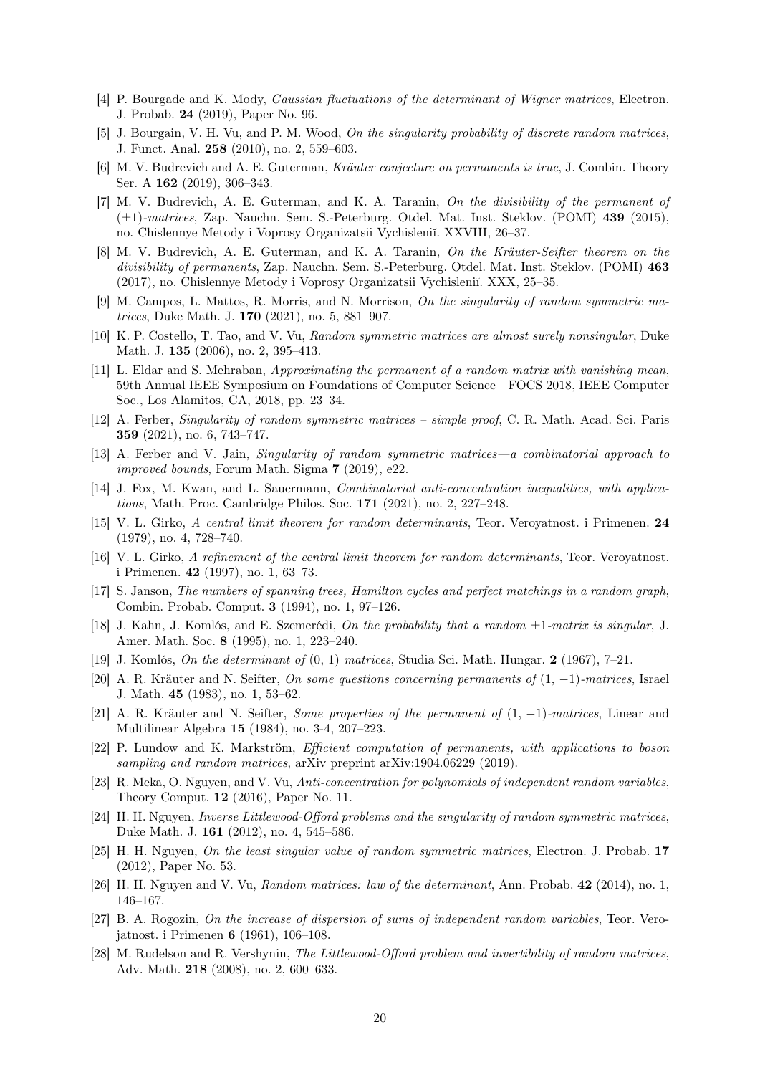- <span id="page-19-13"></span>[4] P. Bourgade and K. Mody, Gaussian fluctuations of the determinant of Wigner matrices, Electron. J. Probab. 24 (2019), Paper No. 96.
- <span id="page-19-3"></span>[5] J. Bourgain, V. H. Vu, and P. M. Wood, On the singularity probability of discrete random matrices, J. Funct. Anal. 258 (2010), no. 2, 559–603.
- <span id="page-19-16"></span>[6] M. V. Budrevich and A. E. Guterman, Kräuter conjecture on permanents is true, J. Combin. Theory Ser. A 162 (2019), 306–343.
- <span id="page-19-17"></span>[7] M. V. Budrevich, A. E. Guterman, and K. A. Taranin, On the divisibility of the permanent of (±1)-matrices, Zap. Nauchn. Sem. S.-Peterburg. Otdel. Mat. Inst. Steklov. (POMI) 439 (2015), no. Chislennye Metody i Voprosy Organizatsii Vychisleniĭ. XXVIII, 26–37.
- <span id="page-19-18"></span>[8] M. V. Budrevich, A. E. Guterman, and K. A. Taranin, On the Kräuter-Seifter theorem on the divisibility of permanents, Zap. Nauchn. Sem. S.-Peterburg. Otdel. Mat. Inst. Steklov. (POMI) 463 (2017), no. Chislennye Metody i Voprosy Organizatsii Vychisleniï. XXX, 25–35.
- <span id="page-19-11"></span>[9] M. Campos, L. Mattos, R. Morris, and N. Morrison, On the singularity of random symmetric matrices, Duke Math. J. 170 (2021), no. 5, 881–907.
- <span id="page-19-7"></span>[10] K. P. Costello, T. Tao, and V. Vu, Random symmetric matrices are almost surely nonsingular, Duke Math. J. **135** (2006), no. 2, 395–413.
- <span id="page-19-14"></span>[11] L. Eldar and S. Mehraban, Approximating the permanent of a random matrix with vanishing mean, 59th Annual IEEE Symposium on Foundations of Computer Science—FOCS 2018, IEEE Computer Soc., Los Alamitos, CA, 2018, pp. 23–34.
- <span id="page-19-8"></span>[12] A. Ferber, Singularity of random symmetric matrices – simple proof, C. R. Math. Acad. Sci. Paris 359 (2021), no. 6, 743–747.
- <span id="page-19-10"></span>[13] A. Ferber and V. Jain, Singularity of random symmetric matrices—a combinatorial approach to improved bounds, Forum Math. Sigma 7 (2019), e22.
- <span id="page-19-23"></span>[14] J. Fox, M. Kwan, and L. Sauermann, *Combinatorial anti-concentration inequalities, with applica*tions, Math. Proc. Cambridge Philos. Soc. 171 (2021), no. 2, 227–248.
- <span id="page-19-5"></span>[15] V. L. Girko, A central limit theorem for random determinants, Teor. Veroyatnost. i Primenen. 24 (1979), no. 4, 728–740.
- <span id="page-19-6"></span>[16] V. L. Girko, A refinement of the central limit theorem for random determinants, Teor. Veroyatnost. i Primenen. 42 (1997), no. 1, 63–73.
- <span id="page-19-24"></span>[17] S. Janson, The numbers of spanning trees, Hamilton cycles and perfect matchings in a random graph, Combin. Probab. Comput. 3 (1994), no. 1, 97–126.
- <span id="page-19-1"></span>[18] J. Kahn, J. Komlós, and E. Szemerédi, On the probability that a random ±1-matrix is singular, J. Amer. Math. Soc. 8 (1995), no. 1, 223–240.
- <span id="page-19-0"></span>[19] J. Komlós, On the determinant of (0, 1) matrices, Studia Sci. Math. Hungar. 2 (1967), 7–21.
- <span id="page-19-19"></span>[20] A. R. Kräuter and N. Seifter, On some questions concerning permanents of (1, −1)-matrices, Israel J. Math. 45 (1983), no. 1, 53–62.
- <span id="page-19-20"></span>[21] A. R. Kräuter and N. Seifter, Some properties of the permanent of (1, −1)-matrices, Linear and Multilinear Algebra 15 (1984), no. 3-4, 207–223.
- <span id="page-19-15"></span>[22] P. Lundow and K. Markström, Efficient computation of permanents, with applications to boson sampling and random matrices, arXiv preprint arXiv:1904.06229 (2019).
- <span id="page-19-21"></span>[23] R. Meka, O. Nguyen, and V. Vu, Anti-concentration for polynomials of independent random variables, Theory Comput. 12 (2016), Paper No. 11.
- <span id="page-19-9"></span>[24] H. H. Nguyen, Inverse Littlewood-Offord problems and the singularity of random symmetric matrices, Duke Math. J. 161 (2012), no. 4, 545–586.
- <span id="page-19-12"></span>[25] H. H. Nguyen, On the least singular value of random symmetric matrices, Electron. J. Probab. 17 (2012), Paper No. 53.
- <span id="page-19-4"></span>[26] H. H. Nguyen and V. Vu, Random matrices: law of the determinant, Ann. Probab. 42 (2014), no. 1, 146–167.
- <span id="page-19-22"></span>[27] B. A. Rogozin, On the increase of dispersion of sums of independent random variables, Teor. Verojatnost. i Primenen 6 (1961), 106–108.
- <span id="page-19-2"></span>[28] M. Rudelson and R. Vershynin, The Littlewood-Offord problem and invertibility of random matrices, Adv. Math. 218 (2008), no. 2, 600–633.